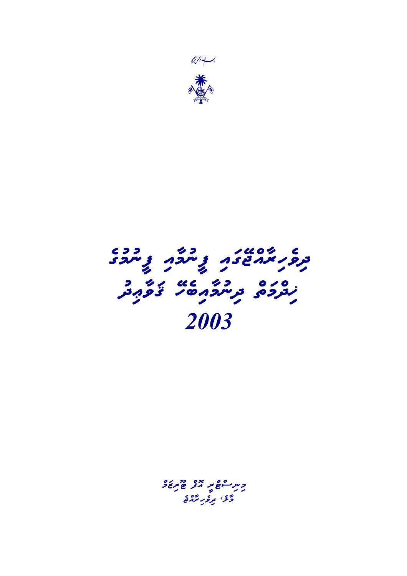

# $\begin{array}{ccc} \epsilon\circ\circ&\ \epsilon\circ\circ&\ \epsilon\circ\circ&\ \epsilon\circ\circ&\ \epsilon\circ\circ&\ \epsilon\circ\circ&\ \epsilon\circ\circ&\ \epsilon\circ\circ&\ \epsilon\circ\circ&\ \epsilon\circ\circ&\ \epsilon\circ\circ&\ \epsilon\circ\circ&\ \epsilon\circ\circ&\ \epsilon\circ\circ&\ \epsilon\circ\circ&\ \epsilon\circ\circ&\ \epsilon\circ\circ&\ \epsilon\circ\circ&\ \epsilon\circ\circ&\ \epsilon\circ\circ&\ \epsilon\circ\circ&\ \epsilon\circ\circ&\ \epsilon\circ\circ&\ \epsilon\circ\circ&\ \epsilon\circ\circ&\ \epsilon\circ\circ&\ \epsilon\circ\$ دوره در دي دورد و 2003

c<sub>m</sub> can all gerse و<br>ولا بره برمان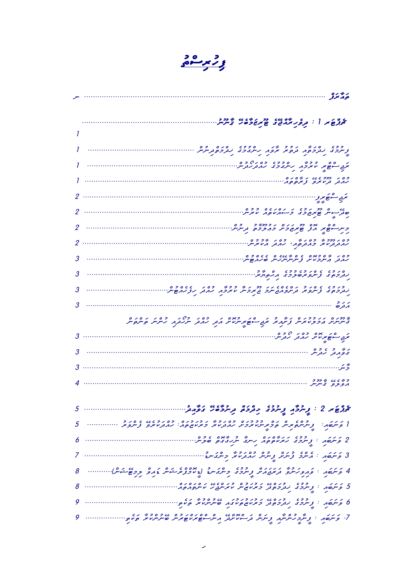$\frac{30}{5}$ 

|   | ہ ہم موفر                                                                                                                                                     |
|---|---------------------------------------------------------------------------------------------------------------------------------------------------------------|
|   | محمد کا نیر مرکز می از محمد محمد از محمد از محمد از محمد از محمد از محمد از محمد از محمد از محمد از محمد از مح                                                |
|   |                                                                                                                                                               |
|   | כ כבי מקבים הכבי זקם, היישבבי מקבים בהייתיים.<br>קיימפים מתכתות תופית ומקבים מתכתותיים.                                                                       |
|   | ם כפר פרוי פרוי פרוי פרוי<br>תקב הפסת מיתכף, מיתברב מזכתיתי                                                                                                   |
|   |                                                                                                                                                               |
|   |                                                                                                                                                               |
|   | גו ס כד נכן נגסודוס בבט<br>סתי-יית פוזקוספים פי-יוקמום, מזקית:<br>ז                                                                                           |
|   | כית הסף אם כך גום גנונים, תניתית.<br>כית הסיו וזר סיומבריג כוזככם, תניתית.<br>גו                                                                              |
|   |                                                                                                                                                               |
|   | כם ק' ז' ס כמם " ג' ס ז' שג' ס " ג' ס פ"ס"<br>ממבק " מייתב מית " ב תייתי מית יש ממשית י                                                                       |
|   | ם נכש שים נפשיפכים ומניים מים.<br>תוקפים ונייקום מסיפכים וממסוקים.<br>מ                                                                                       |
|   | $3$<br>- כנבז מינים נפטים נניים נודעים בפי הסוג מינים בסי<br>נדקפים <sub>ב</sub> ייקפית דקיקפות שיקפית מיניפו <i>ן מ</i> ות נבלמות שיקי<br>-                  |
| 3 | مەرە                                                                                                                                                          |
|   | היבנים נגבבנים גם כי הסיגבים באסים ב- כסני כלני בסני ניסנים.<br>הייתיות הפקטיניות <sub>ק</sub> יתה זק מפוסמיות הבקי מהבקי יותמת הייתיות הייתוקיות.<br>הייתיות |
|   | ת בן יש 20 02 יודעית.<br>תב הפתמת מת מבתית.<br>ת                                                                                                              |
|   | בפקב, גבע,                                                                                                                                                    |
|   |                                                                                                                                                               |
|   | 1 מגום המדיר<br>1 תוכל פיינייק                                                                                                                                |
|   |                                                                                                                                                               |
|   | יצק. או יו נַיִּתְלֹתְ נַיִּתְלֹב יְבְרָם בְיתֹכֹם בְּפְרָב ו                                                                                                 |
|   |                                                                                                                                                               |
|   | 2 פֿינסֿת : צְייַקְפְב גזקוס זה קיינד יקדובים, סביל                                                                                                           |
|   |                                                                                                                                                               |
| 8 | 4 פֿינסת : פְּתְפְלִיינָפֿ גֹזְנְגְבְרֶנִינ דְיוֹכְלִינְ דְּיוֹכְצָזְיִנְיְיֹיִינ דְּחָפְ בְּרָשֵׁיְיֹיִלְןְ                                                  |
|   | 5 פֿינסת : צייכט גברפסט גבגעהייר נוסטון גם גם גם.<br>5 פֿינסת : ציינכט גברפסט כאנשאייר עאיינגיג עיינס, מסו                                                    |
|   | 6 ק'ייסת ו' צַייַכִב נְבְכִפֶּבּ, כִדְעִישְׁםְּישׁם, סייטינטיב, ק'ים ווייוו                                                                                   |
|   |                                                                                                                                                               |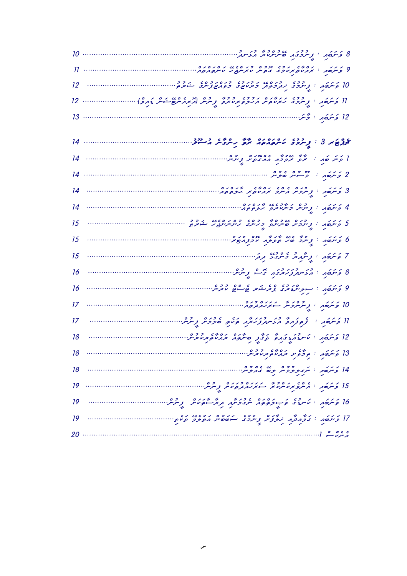| 11 | 9 פינסת - ייני ייני ייני פי כומי ייני פי פי סיטי.<br>9 פינסת - אנגיו פאיני די ביטיי יואייקט מי מייני ווייני ווייני ווייני ווייני ווייני ווייני ווייני ווייני ווייני |
|----|---------------------------------------------------------------------------------------------------------------------------------------------------------------------|
| 12 |                                                                                                                                                                     |
| 12 | 11 פֿינסת : נָייַבְבּ מַצְעִם לְבִי כְּבְּבָ בְּבִי הַבְּבָ בְּיִיִי הַבְּבְי בְּבְם הַבְּב).<br>11 פֿינסת : נֶיינכִצ מִצְעִם הַבְּפַ צְעִיצְפ                      |
| 13 | 12 <i>ۇنترەم : ج</i> ىئر…                                                                                                                                           |
|    | ى ئۇي ئىراق ئېرىدۇ. ئاندە ئەھ ئەھ بەندى ئى ئىشتۇ                                                                                                                    |
| 14 |                                                                                                                                                                     |
| 14 |                                                                                                                                                                     |
| 14 | 3 פֿינסת : צֶיינכינ תיינב זנחים זי גיבסים.<br>3 פֿינסת : צֶיינכינ תיינב זנחיים זי גיבסים.                                                                           |
| 14 |                                                                                                                                                                     |
| 15 | 5 פֿינסת : צָיינביג סייניינפ כ 200 בפינים בי 200 ביבודים.<br>5 פֿינסת : צֶיינביג סייניינפ פינינד גיינייניינדיג בייניקים.                                            |
| 15 | ם פֿיתֹסת בנית בני גזיג ויי די בנית בי                                                                                                                              |
| 15 |                                                                                                                                                                     |
| 16 | 8 פֿינפֿון : ג'ניינדק צידידי די ציירייק.                                                                                                                            |
| 16 |                                                                                                                                                                     |
| 17 | 10 <i>ؤىئرەم : پ<sup>ە</sup> ئەنگەكتر</i> سە <i>نگەنگە</i> تەھ                                                                                                      |
| 17 | II وَ تَرْجَمْ ﴾ وَ وَوُدِهِ فَ فَرَ تَعْزَّمْ رَجْزَةً فَيَ مَعْ وَفَرَ مَنْ تَوْسُرْ وَ شَرْسٌ                                                                    |
| 18 | 12 פֿינפֿון : מייעון גובוק בּוֹצְיָן פּיילִפּון זיוואפּזיקייני                                                                                                      |
| 18 | $\frac{1}{2}$ פֿילסת בפליט די פרס. בפ                                                                                                                               |
| 18 | 14 وَسَمَعَهُ : سُرى و و و ه و و و و و و و                                                                                                                          |
| 19 |                                                                                                                                                                     |
| 19 | 16 פֿיתֿסֿת י זייעיז פֿיניפֿפּפֿר יירעל פּוליילי פּולי פּוליי וויייייייייייייייייייייייייייייי                                                                      |
| 19 |                                                                                                                                                                     |
|    | ، وه ه المستنسست<br>20                                                                                                                                              |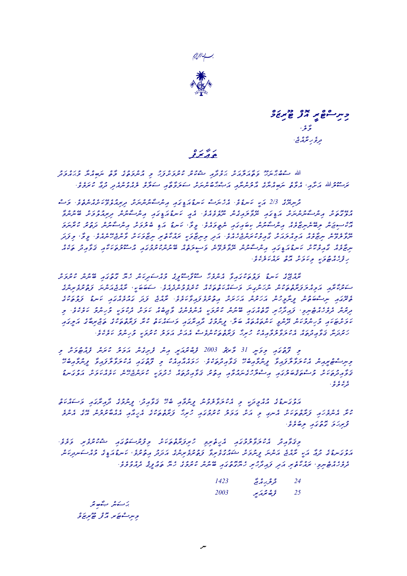



وسر سوھ پر مدد وہ مرد و ۇغ تىرق*ى بە* ئىمكەنتى·

#### $\frac{0}{5}$

الله دوه بر دور بر بر دور دور و دور دور دور دور به در دور دور در در دور در دور در انداز است تصریر در انداز تعر .<br>توسعوالله برتوبر، بروی توجه مرد بروسر بروی از میلوده شریع می دوده برای از این اسم و برابر و از این از این از ا

و عدد و عدد المريد المريد و المراسم المريد المريد المريد المريد و المريد و المريد و المريد المريد المريد المري<br>ترس من 2/3 المريد المسيح و المركز المريد المريد و عدد المريد المريد المريد و المريد و المريد المريد المريد الم حمد حمد من الحدود من المراس المدين المراس المراسم المراسم المراسم المراسم والمراسم المراسم المراسم المراسم الم<br>المراسم عن المراسم المرسم المراسم المراسم المراسم المراسم المراسم المراسم المراسم المراسم المراسم المراسم المر aman Aruk urutad qamuleb idaw upanAruk ,Amir .evewamiten iya .evewamiten iya .evewamiten iya .evewamiten iya .  $\mathcal{A}_{\mathcal{A}}$  , Amiv .evewenEhejquar Ikamazinim idaw .evewenEyqnarukqinim idaw .evewenEvelavelavelavelavelave  $\frac{1}{2}$  is  $\frac{1}{2}$  in  $\frac{1}{2}$  is a contraction in  $\frac{1}{2}$  in  $\frac{1}{2}$  is a contraction in  $\frac{1}{2}$  in  $\frac{1}{2}$  in  $\frac{1}{2}$  in  $\frac{1}{2}$  in  $\frac{1}{2}$  in  $\frac{1}{2}$  in  $\frac{1}{2}$  in  $\frac{1}{2}$  in  $\frac{1}{2}$  in  $\frac{$  $\mathcal{L}_2$ .evekelako qortom qortom qamakim qamakim qortom  $\mathcal{L}_3$ 

 qSamuruk qnunEb iwagutog oyeh qnakidasqwum egIfUsAfUs Ahemqnew AviwagukatuLaf uDnak egEjqwAr  $\frac{1}{2}$ ega ... (2010) .Ikababas .eveweddan .Ikababas .eveweddanumeverus ... (1189) ... (2010) ... (2010) ... (2010) ... (2010) ... (2010) ... (2010) ... (2010) ... (2010) ... (2010) ... (2010) ... (2010) ... (2010) ... وور بر میران و به است و و از برای در این است و در این است و برای است و برای در این است و برای در این است و برا<br>وی است و برای میران و برای است و برای است و برای است و برای است و است و است و برای است و برای است و برای است و  $i$ ون عاعاة عاملي الموسود و المحدود المحدود و المحرور المحدود و المحدود و المحدود و المحدود و المحدود بعد المح<br>توجهين ترور برهاني المحرور المحدود المحدود المحدود المحرور المحدود المحدود المحدود و المحدود و المحدود المحدو iyagin eyagaraf egukataraf Aruk qataqiyatam iyagariwada egumuniyada egumuniyata . وورځ رځ د وره او ورځ وچې او و اله ارځه بروه په او بران اربرو او ور او او او د عادال او لار او د او د عادالل<br>ارتحالي على الله لله على الله على الله على الله على الله على الله على الله على الله على الله على الله على الله

بعد العربي على الحريم وكان في المحمد والتار في المحمد المحمد المحمد المحمد المحمد المحمد المحمد المحمد المحمد المحمد المحمد المحمد المحمد المحمد المحمد المحمد المحمد المحمد المحمد المحمد المحمد المحمد المحمد المحمد المحمد Ehebiwa Island iwa iwa in ukumafalukewa .evekatudiwa que in ukekwiwa  $\frac{1}{2}$ uDnagulaw qoa akquemak enebudeh quatudiwaa qatudiwaa qatudiwaaneguhalaaneguha iyo iyo iyo iyo iyo iyo ى ء ء ء .<br>قرى*م ق*رى

 qtakqwasam iwagAriwAd egumunIf ,udiwAvaQ Eheb iwAmunIf unuvelAvalukew im IkadImqwuw eguDnaguLaw emqnew egEw qnulurAbqwew iwAwIhew egukatqtAraf Ahiruh iwagumuruk ulamaW qSaw im ignew qSakatqtAraf iwahemqnew Aruk  $\frac{e^{i\theta}}{i\pi}$ , even de de amaz

.<br>وی و د و مسروم وی د مرد با برای برای مرد با برای برای می کرد و دو ر و را او عاده المرا المروان المروان المرواة المرا المرواة المروان المرا و المروان المروان المروان و وسكس و در<br>المروان المروان المراد المريد المرس المرس و المروان و المروان و المروان المروان المروان المروان المروان المروا .evel at out of the quate independent in the other independent in the integration in the state in the contract in the contract in the contract in the state in the contract in the contract in the contract in the contract

| 1423 | و و پر دیگر<br>فرغر <i>ب</i> ر دی | 24 |
|------|-----------------------------------|----|
| 2003 | ې ده چرم پو                       | 25 |

بركسكاش بسكاك تحر وسرڪ صحيح ترجي و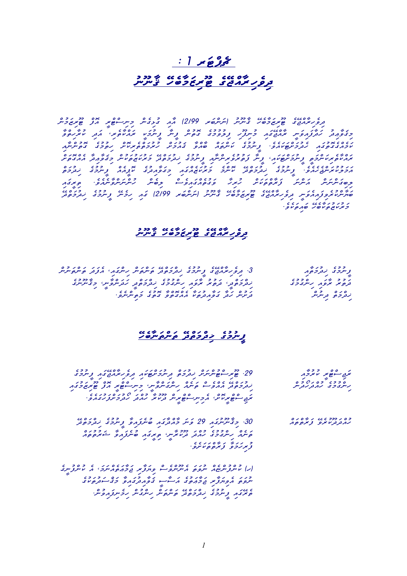# $: 1 \times 28$ ט טיס בכ ניטי שיכני בינור ביתית.<br>בקפל *מ*אפט <u>שיטכסל ביתית</u>

כל ממשו כל נומשו של הכל נולעים וב 1999 הו ביו ביותר ביותר ביו המודיע ביותר ביו ביו ביו ביו ביו ביו ביו ביו ביו<br>בנופ מנושב פימשיבים מייעיות (ויניונים מי 1219) הו התוכניות ביותר ביו הגו פימשיביות כבצור התצורפית המשפח כיתצה צבפכב בתית ציתכן המשתי את התה iaWncnutog egumutih cSokiretctwmuruh cSwmuawq WvcaWb cawtcnwk egumunIf .eveawkwTcSwmudeh iawgutogegcaemwk כסמי הסביב ציברסמית ובירדי במיקוד ברובי בהסמי הבקבר בילי מישבות ביני המינוס.<br>מחמת מינייקפי צייקציקסמית צייק צפונקציקייקית צייקפי המקפור במימוז פיניקטית ביניקטית מחמתית ctyctwmudi izonycz egustal egustal egustal izony i emcyklowym i force international . . . . . . . . . . . . . . دەكتىرىكىس كەنتى كېرىك دەكلەرگە دەس كىرىكىي تەركىمىس ئارلىق ئىنتى ئايدىن . 2007 - 2009 pm 12/99 1200 - 2009 pm 12/09 pm 12/09 pm 12/09 12/09 pm 12/09 pm 12/09 pm 12/09 pm 12/09 pm 12/<br>שתיתטובקים (2/99 pm 12/09 pm 12/09 pm 12/09 pm 12/09 pm 12/09 pm 12/09 pm 12/09 pm 12/09 pm 12/09 pm 12/09 pm .evekwtiawb EhebWkwtuzwkurwm

#### ט טיסט כר נגיש מי פרי ביינור ביינור ביינור ביינור ביינור ביינור ביינור ביינור ביינור ביינור ביינור ביינור ביינ<br>בקו*פ ג' ארו*ב ביי<u>נור ביינור ביינור ב</u>יינור ביינור ביינור ביינור ביינור ביינור ביינור ביינור ביינור ביינור בי



# Elektrican Cordinal<br><u>Englished Conduction</u>

| $222$ 160% C 11012 012 01020 22 00                               | $\rightarrow$ $\rightarrow$ $\rightarrow$ $\rightarrow$ $\rightarrow$ |
|------------------------------------------------------------------|-----------------------------------------------------------------------|
| צגי פוזק הסיקיקיק לנקבת נקייקפינון נקפ מזונגון נייקב ב           | יתם – יפיו מית כומ                                                    |
|                                                                  |                                                                       |
| $121$ $22$ $025$ $00$ $000$ $000$ $001$ $000$ $000$ $000$ $000$  | 0,0000000000                                                          |
| מנקפיזק ממפיי ובייקוד מייקודיקייקי בייקיייפוד מן פודנוסמד        | קייקטריט וקודוק קודק ייק                                              |
|                                                                  |                                                                       |
| CC/7/0/7C/077770000<br>$\sim$ $\sim$ $\sim$ $\sim$ $\sim$ $\sim$ |                                                                       |
| זקה — נסידו זרי ארכייק — נסיד המיק המקור הקודו המוסי             |                                                                       |
|                                                                  |                                                                       |
|                                                                  |                                                                       |

בס הדבכ הזה הייס הם במודד עם המודד מודד במודד במודד במודד במודד במודד במודד בין המודד בין המודד בין המודד בין cawtuturwa iawang iawa iawa iawa iawa iawa iawa kutokuwa waliozaliwa waliozaliwa waliozaliwa waliozaliwa walio<br>Indonesia waliozaliwa kutokuwa kutokuwa kutokuwa kutokuwa kutokuwa kutokuwa kutokuwa kutokuwa wa kutokuwa kuto .<br>وبرزوی وبره و ما مره

 egInufcnuk ea ,wmwncaetwAWmwj irWfwyiv csevcnUnea wtwvun caeNcnufcnuk (h) وزر عدد الداروي المناطق المحركة المحركة المحركة المحركة المحركة المحركة المحركة المحركة المحركة المحركة المحرك<br>سروى المحركة المحركة المحركة المحركة المحركة المحركة المحركة المحركة المحركة المحركة المحركة المحركة المحركة ا .cnuviawfinemih cnugcnih cnwtcnwt EdctwmcdiK egumunIf iawgEret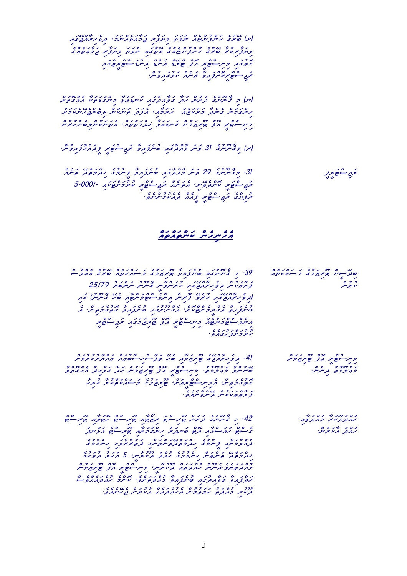iawgEjcaWrihevid ,wmwncaetwAWMwj irWfwyiv wtwvun caeNcnufcnuk egurEb (S) egenty in 1995 isoloog oo 1995 is die 1995 is die 1995 is die 1995 is die 1995 is die 1996 is die 1996 is die <br>Gebeure zon currey ni gas was nus regusen  $\sim$ حمي سود مركز مركز مركز مركز مركز

 cSwtogcaea WkwtuDwgcnim WLwawDnwk iawgudiaWvwg Wdwh cnuSwd egunUnWq im (n) cSwmwkenEhejcnebil cnukwnwt wdwfea ,iaWmuruh caezwkurwm Wdcneg cnumwgcnih .cnuruhchenebilchebilchukwang ,care ,cawtchwirut core ,camtchwirut core ,camtchwirut chumwanda Irc $\frac{1}{2}$ 

.cnuviaut IrwAff IrwAff IrwAff IrwAff IrwAff IrwAff IrwAff IrwAff IrwAff IrwAff IrwAff IrwAff IrwAff IrwAff Ir

cae caenwa egumuni Eduction iawa iaway iawaliwa iawaliwa iawanyo iawaliwa iawa iawa iawaliwa iawaliwa iawaliwa<br>تتریپ - مصر 5,000/- iawako in 1997 caenwydd Irchtch Indian - 1000 5 .<br>بروازی نرج سوم د داراز در ادام در سر

# cawa coloro<br><mark>campa coloro</mark>

| 39- כ לייציינציו שייננול שימזכב כי חדשתו שינב החליי<br>$\overline{\phantom{a}}$<br>ק היכס – גם הזה כקסת הזיכר קסקר 25/79<br>צוקם טיית בקפ הזהה בא מוקייתפיית הייתיית ייתייתים ב<br>$\frac{1}{20}$ $\frac{1}{20}$ $\frac{1}{20}$ $\frac{1}{20}$ $\frac{1}{20}$ $\frac{1}{20}$ $\frac{1}{20}$ $\frac{1}{20}$ $\frac{1}{20}$ $\frac{1}{20}$ $\frac{1}{20}$ $\frac{1}{20}$ $\frac{1}{20}$ $\frac{1}{20}$ $\frac{1}{20}$ $\frac{1}{20}$ $\frac{1}{20}$ $\frac{1}{20}$ $\frac{1}{20}$ $\frac{1}{20}$<br>ے <i>ے ج</i> حو ح<br>ונקפ ממנגם בנג עזקפי גן מינפ היוספינסו, וסמי "בייקייקון בנק<br>0 1672 4 167 -173746 02006 06 4 167<br>סייקצוק ודביקדייקטיתי וה"יקייקודו סייקצוק בהפכקייקי ו<br>00 1 121 22 026 00 060100 60<br>תיתפ לפלית מת כית לפית הצ מית לכלה אם לפית<br>ダーフィー<br><i>CC</i> ノフ ノ ロ ノ フ フ<br>・ e n s v z x v v | 0 C / 0 / 1 / 1 / 2 / 27 0 10<br>סנקי—ית פיזנגים כי—יודייםו<br>42<br>0 2 2<br>لايخرس       |
|--------------------------------------------------------------------------------------------------------------------------------------------------------------------------------------------------------------------------------------------------------------------------------------------------------------------------------------------------------------------------------------------------------------------------------------------------------------------------------------------------------------------------------------------------------------------------------------------------------------------------------------------------------------------------------------------------------------------------------------------------------------------------------------------------------------------------|--------------------------------------------------------------------------------------------|
| 41- נקפימתפט פימזכת של תניינייים בא הממממכת<br>$\circ$ $\circ$<br>クロメロく クークノーク ノーロコン・ココーロメート<br>2 422 2 4 0 2 LC<br>סיניתם כמצרם" כיני-יסיג מצ סיגוזכית מנג הפמנג ממהם כ<br>e de la caracción de la caracción de la caracción de la caracción de la caracción de la caracción de la caracción de la caracción de la caracción de la caracción de la caracción de la caracción de la caracción de la caracc<br>تموت وكوش الاوس المع برادش كالرجاوى الاستار بالإلاح الرجران<br>$\mathscr{A}$ and a set of $\mathscr{A}$<br>$CCOOCC$ $OQO$<br>وبمره وبالاس ورسروسرمروا                                                                                                                                                                                                                                                      | 0 / 12000<br>トフェメ タリハ メモー<br>$\mathscr{L}$<br>- -<br>0.2<br>- 2 422 2 1<br>ويرتزوني الاسرس |
| 42- כ הייתית האיתיית שתייחש תשפת שתייחש תשקת שתי<br>בי-ים מגי-נגג תם סיינגזג מיינבכינג סזק-ים גקיינג<br>ם מים בו מים מים בים כם מים בפיטיים ביותר ביותר ביותר.<br>בירוח בי הייתה ית מיתור ביותר ביטותייתיים האמות בנפימים<br>הבקפיזה ופייקופייק הייקודים והזיק בקטובקייקי<br>$\sim$<br>כתבקיקפית ומעית מתבקים הבקודיקיית בית-יסיד אך סידוגים<br>$\sim$<br>$\sqrt{2}$<br>0 COC/03 COX CC//03 G /C3 /3 G/ G /G/<br>מנקות בפגנתבה שיינגם כגנקפינפי איינד מגנגגפיי<br>ת מיני כמתם, מכפכית ממממממ מינימית <u>ב</u> מינמפי                                                                                                                                                                                                                                                                                                     | シンロン ショコンロコ<br>גתנקעית כתנקת<br>- 0 2 2 4 - 0 2<br>גנג נגע זקייקי                          |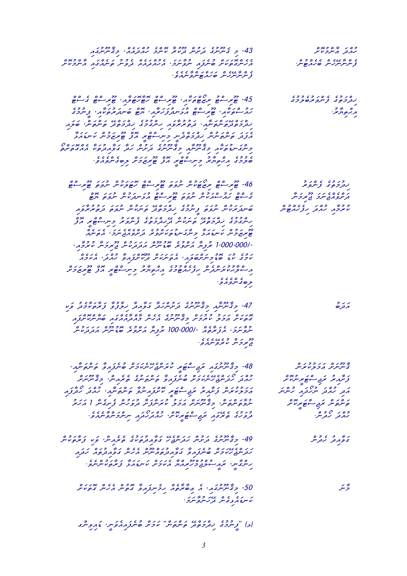| ג דיכר בא ברי המוני המוני המוני המוני המוני.<br>43- כ"ב ייתיים "בתיית" בתודים מוני המבקממ" ב"בייתיים ב                                                                                                                                | $0 \times 204 - 02$<br>החנק הייקפטית                        |
|---------------------------------------------------------------------------------------------------------------------------------------------------------------------------------------------------------------------------------------|-------------------------------------------------------------|
| $0 \times 704$ 1061 776 061076 1147 167 011×066<br>הגיתזיקטית סיינקה יינפיינכי הגהבהה בנפיינ הייתהה היינכטית                                                                                                                          | 3 ייקייקייקיק וס <i>ה</i> תפייקי                            |
| z מתייקודיק וסמקסייקפייקה <i>z</i>                                                                                                                                                                                                    |                                                             |
| 4100 70 7<br>00 C 00 22<br>4124220022                                                                                                                                                                                                 | نردر حرى وسرو بر صور ى                                      |
| ملاستى ملاء كالمرسيط الاستركز مترار الركع كاسترمر لايكر والروي                                                                                                                                                                        | 240<br>ה ה <sub>ס</sub> ת ז.<br>ג                           |
| 11010000                                                                                                                                                                                                                              |                                                             |
|                                                                                                                                                                                                                                       |                                                             |
| ה את הסתיבים אבורסים בייתר בייתר שיותר בייתר בייתר בייתר בייתר בייתר בייתר בייתר בייתר בייתר בייתר בייתר בייתר<br>הצבת המיתוך בייתר בייתר בייתר בייתר בייתר בייתר בייתר בייתר בייתר בייתר בייתר בייתר בייתר בייתר בייתר בייתר בי      |                                                             |
|                                                                                                                                                                                                                                       |                                                             |
| $22$ $112$ 0 $2112$ 00<br>22<br>$\circ$ $\circ$<br>46- שַׁצְּיָ— שַׁ צְאַ שַׁעَייֹ, יוֹנְפֹבְ שַׂצְי— שַׁ גֹשֵׁלְעֹיוֹ, יוֹנְפֹבְ שֵׁצְי— שַ                                                                                          | $2 \times 0$ $\in$ $C$ $2 \times 2$<br>نردر حراما الرسرواسر |
| ם ספיל כי היל היו כל היא היו היא היו היו מים היו מים בין מים היו מים היו מים בין מים היו מים בין מים בין מים ב<br>היו בין היו מים המים היו מים היו מים היו מים היו מים היו מים בין היו מים בין היו מים בין היו מים בין היו מים ב      | $4 / 22 / 11$ 60 60 1<br>ترترو أرقع سروا المع برواس         |
| מונדר פני דרך בריים בים מידים ונדר בריים בני הרבויו.<br>סייתונו מעוד ייתוני התכב לבריים ביו מיידי ייתונים ביו ממשים ב                                                                                                                 | ככש כם הבסכם<br>מיצפת מתבק תצמת שית                         |
| 0x 00 2104 6210 16 0211 16010 6220                                                                                                                                                                                                    |                                                             |
|                                                                                                                                                                                                                                       |                                                             |
| -1،000،000 ټرونگر مگرونکر ځونګرنگر مرکزمانٹر فایرونلر مایزومر،                                                                                                                                                                        |                                                             |
| נכג כני מכיר ניסיני ומפייקודים כסבסני מי כסני הנההם.<br>מכה עד סדכייתיוסיקודי ומפייקודי בקויקצונפי מוזקי ומיכון                                                                                                                       |                                                             |
| ם בכביב בים בים בכבים הם ביכון בים בים בים ביבון בים בינון בים בינון בים בינון בים בינון בים בינון בים בינון ב<br>משיכונו בייעוד הינון בינון פורים בינון בינון בינון בינון בינון בינון בינון בינון בינון בינון בינון בינון בינון      |                                                             |
| $\epsilon$ $\epsilon$ $\epsilon$ $\sigma$ $\epsilon$<br>و می سرو مرو                                                                                                                                                                  |                                                             |
| - 17 - 1999 - 1999 - 1999 - 1999 - 1999 - 1999 - 1999 - 1999 - 1999 - 1999 - 1999 - 1999 - 1999 - 19                                                                                                                                  | ランン<br>بردره                                                |
| הנגדם גנד דרכנס - החדרה המדינים מימים נדי ממסים.<br>התמיני הרב מינפית בהייתיום הניית כהבקההמה סותיות מינה                                                                                                                             |                                                             |
| בשתק הגשה ב-2000-100 בא הסכה הבכפס ההגבס.<br>תפיתבי הג'ולפה -/100-000 יקנות התפוד סגיתית הבנקודית.                                                                                                                                    |                                                             |
| $CCCCCC2$ $4$ $2$ $22$<br>ويروس لأنروشهروا                                                                                                                                                                                            |                                                             |
|                                                                                                                                                                                                                                       | מידונים ונדפנים<br>בייתייתית הפ <del>ת</del> עיתית          |
| 48- כלייכבת תם היפת התפכים ביותר לקבל ליילות את הייתור<br>26- כלייכיבת היו כל תודעות הייתור ליילות ליילות ליילות הייתור<br>20 את התנועת הייתורת בייתור ליילות באת יילות בייתור                                                        | ریز بر ترج شکھ برسر<br>گرمز برج شکھ برسر                    |
| بر دوم تریگر تر تردید استاده به مورد استاده به ترور میگرد.<br>بروی تریگر تریگردید به ترور مورد به دیده به ترورد بردگر<br>سره و ترورد به ترورد بردگر در ترورد ترورد و تروید از بردید                                                   | .<br>ג'בק בסגרפס הריבות הריבות                              |
|                                                                                                                                                                                                                                       | הפתול תוק הפותעת<br>המתולים תוק                             |
| כנכש המנה ההם הסינים בסנמק יישוב ובשינות.<br><mark>נקפ</mark> נים <sub>בר</sub> וברות משינות ומנקבות יישוב יישוב ייטוב                                                                                                                | כם ק' ק' כ"ם.<br>ק' מבק ק' ק' ק' ק' ק' ק' ק'                |
| 49- קבציתיים בקיקיים במשפט בפחדתים בא באופי מקובל באי המקום.<br>49- קבציתיים בקיקיים במייקום בפחדתים מב"ס באקחיים במקום באתם מייק                                                                                                     | ر پر د د د ه<br>د و پر تر ر تر سر                           |
|                                                                                                                                                                                                                                       |                                                             |
| ת הספטות בשנית המוניקה בהספרס בשנית המוניקה בתפרית.<br>תברית המכת שייתצות כי פומבים במיניים והמיים בפומבים בא תבקות.<br>תיית בייתוח מקור המכתב במיני המוניקה במינית במינית ביית.<br>תיית בייתוח מקור במיני המכתב מיניפו במינית במינית |                                                             |
| ב ביותר ברי המשתפת בריינדו ביותר ביותר ביותר ביותר ביותר ביותר ביותר ביותר ביותר ביותר ביותר ביותר ביותר ביותר<br>רוב ביותר ביותר ביותר ביותר ביותר ביותר ביותר ביותר ביותר ביותר ביותר ביותר ביותר ביותר ביותר ביותר ביותר ביות      | تر سر                                                       |
| ئەسكەردىمىز دەرەتكەد.<br>ئاسكەردىمىز تەرىپرۇتكۇ:                                                                                                                                                                                      |                                                             |
| (د) " درج در دره در ه مره سر از در در در در از از دروش<br>(د) " د سرده د درجه در ه سره سر از از مرکز در مرکز از دروش                                                                                                                  |                                                             |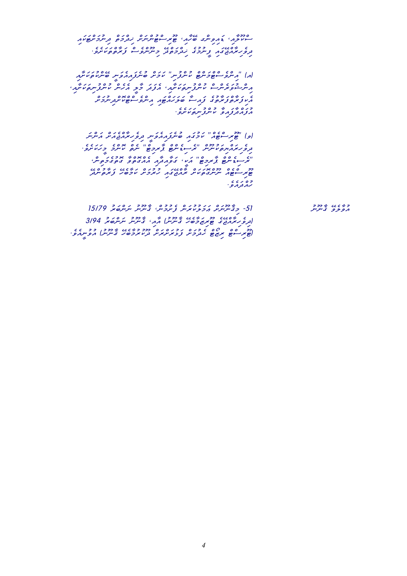iawkwTcSwmunid ctwmcdiK cSwncnuTcsirUT ,iaWhEb gcniviawD ,iaWlUkcs .evence Coseves coes of the coes of the coes of the egg of the international egg of the coes of the coes of the coes of the coest of the coest of the coest of the coest of the coest of the coest of the coest of the coest

iaWSwkwtukcnEb Inwveaiawfenub cSwmwk ''inufcnuk cTcnwmcTcsevcnia'' (a) , شرشوه براه و ماه مسلم المرور و بالمرور العرب و در المرور المرور المرور المرور المرور المرور المرور المرور ال<br>مسرح و مرسوم المسرور المرور المرور المرور المرور المرور المرور المرور المرور المرور المرور المرور المرور المرو cococococokietyczycznia iawyczanie iawycznia iawyczanie współczewczanie współczewczanie w wystrzewczanie w opo<br>Toponymie występujący .<br>בנבח בנבק בית בית בית בי

שומר משפח יוכל כשום באים מים הסשום הסתום.<br>|פן 'סתי-יסת' מכבה סיית החלקית תפימת החינה היות .eves conoc i'c conoc culose culose conoc condition in content in the condition of content in the condition of<br>ترويز مرور ورويس السر المستوجد سرج العروج السرج و ريما مروية  $\alpha_{\rm{eff}}$  , cnit we discrept of the contract of the contract of  $\alpha_{\rm{eff}}$ בכן בבי המשירות במוני המונים ומונים במונים במונים במונים במונים במונים במונים במונים במונים במונים במונים במונ<br>פוצע הסיום ועיות במונים במונים במונים במונים במונים במונים במונים במונים במונים במונים במונים במונים במונים במ وه ر ،<br>رد تر د و .

15/79 בכבר משמש המשמש המסיר המסיר המסיר ביותר ב-15/79 .<br>מפקפ בייטיט ם שיסטום כך השימו שיכרון שה שיכרוב הסוג 3/94<br>|תפישתושים פיזום כיסוג בייניית| ההי בייניית יינייתים ב-3/94 .eveaInuvua (unUnWq EhebWmurukUd cSwrcSwruLwf cSwmudeh cTOzir cTcsirUT)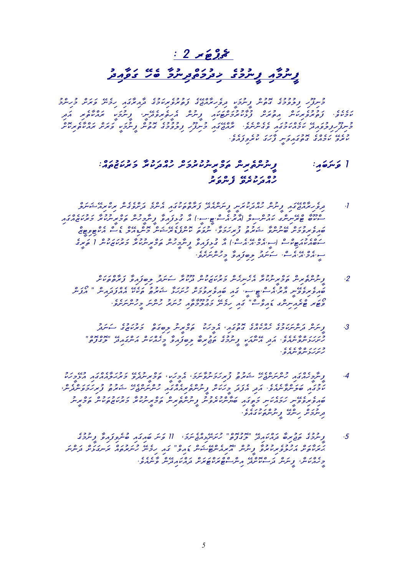#### $: 2 \times 225$

# د د د د ده د و د و د د و د د د د<br><u>د سرد د برد د د د وه برد من د وړ</u>و

כ ככ – ככבה הככם בקיים בקיים משמון וככה גבה היו גם ביותר בקיים ביותר.<br>בייתן הבקיפיבי בקיים בקיים בקיים בקיים בקיים ביותר בארוח בקיים באינו בקיימיב ובכם וככם וכן המוצר הוסיון ניתית הוסיתפצויין ניתלט וספט הצג<br>מקמפי נפינקימיות הפיצית נצמאדקיקסטה נייתית הופינקפלקיט ובאמיפיק הצג כת כבור כן הה בליכוד באיכוב ביני המוספר ביני להם ביני המוסף ביני להם ביני אודו ביני המוסף ביני ביני להם ביני ב<br>בתוך תוך בקודות מכחומכזה פליניותם ואודוגיזם ביני קובפכיל ביניות והפיתו פוצית ומחמים בעירות .eveawfiveruk wgwhWf Inwviawgutog egcaemwk Everuk

#### $: c_2, c_3, c_4, c_5, c_6, c_7, c_8, c_9, c_1, c_2, c_3, c_4, c_5, c_6$  is a contrary cniret cniret cniret cniret cniret cniret cniret cniret cniret cniret cniret cniret cniret cniret cniret cniret cniret cniret cniret cniret cniret ده رد ده ده در د<br>رمور سرو گرس

- clwnwxEairckir cnegevcSwd emcnea iawgukwtctWrwf EdeacnwnIf Inwrukwdcauh cnunIf iawgEjcaWrihevid .1  $i\frac{1}{2}$ سر سن ملاهم الله المسلم الأراد المسلم السياس التي تحدد وروبا المسلم والمسلم والمسلم والمسلم والمسلم والمسلم والمسلم والمسلم والمسلم والمسلم والمسلم والمسلم والمسلم والمسلم والمسلم والمسلم والمسلم والمسلم والمسل political chemistration control control control control of the control of the control of the control of the co  $\frac{1}{2}$  $\alpha$ even is december of the conduction  $\alpha$ 
	- $\frac{c\cdot\sqrt{c}}{c\cdot\sqrt{c}}$ g udwanter Wiawfibiang control control control control control control control control control control control control control control control control control control control control control control . composition 2000 cnic cnic composition .IS.IT.com .IS.IT.cs<br>שמפתפפית התיהיים ..... 2000 מפתפכת מתמל ייבותם פיטי החצב המיד ... .eveSwncnuhIm wncnuh urwnuh iaWtWmUluAwm Enemih iawg "cscviawD gcniniaercT rwTOv
		- $\sigma$ ונס כי המיניכט בפני המשותב בפני המיניכט ביצוע בני המיניכט ביניכט כי המיניכט ביניכט ביניכט ביניכט ביניכט ביניכט כנונו סוב ccc מנוג במנועד בין המנועד במרוח מים מסוב וומדינו וויי בשנים.<br>תתמית ייתוח בין הנוגדות ונייחד בים בסוב ביטוח במרוח הייתה היבוד ב .<br>د تر ر د سره سرد و
- ukwhImELua iawgcaeaWlwHurwm EvedunIrcmwt ,IkwhImea ,wmwnWvunwmwhiruf uYurwx Ehejcnwncnuh iawgcaehImWnIf .4 , כבר הקיסור מוכני המוניק בליטוע בסיי מוכני המוניק ומוכני המוניק באינגרי המוניק .<br>מכבר היית מינגרי המוניק בליטוע בייתוח מוניק המוניק ומוניק באינגרי המוניק . ני Irch ממונדים במונדים כמו כי כפי כס מונדים כמו כי הפני הס מינדים ובית הסייר בית הסייר בית הסייר ובית הסייר ב<br>סוגפ זנפפית הכוגעית בית בגן וסוגיוט זנפת ובית מתנית הסייר מונדים מינדים בית הסייר בית הסייר בית הסייר ובית הסי .<br>و سروس رسری و سر سر بردن که ا
- egumunIf Wviawfivenub iawgiawb wnwv 11 ,wmwnejcaiLEnwSuh "ctofugol" Ediawkcawd Wbirujwt egumunIf .5 wncnwd cSwLwgnwr cawturwnuh Enemih iawg "cviawD cnwxETcneairoa" cnunIf Wvurukirevuluhwa cSwtWkwrwH .eveaenWv cnEdiawkcawd cSwrwTckwrcTcscnia EdcSokcswd cnwnIf ,cnwkcaehIm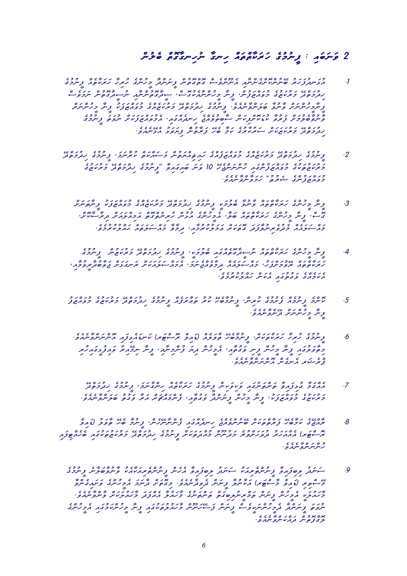### $2e$  culcule chulch culture chung called chu

- $e_{\ell}$ egumunIf caet caetware coetware coetware in die $\ell$ nutoga coetware in die $\ell$  csevwmwn cnutogWdIsun iaWncnutogWdIs ,csogukeaWncnuhIm WnIf ,cnufwzcawvum eguzwkurwm EdctwmudiK ز دوره و دور در ۲۵۵۵۵ و دومان در دوره در در در در دور دور دور در دور در دور در دور در دور در در دور در در دور <br>در ترد در ترس و سرو الارس سرو از در دور در دار در دار در دور در در در تر تر در در در در در در در در در در در د .<br>1986 cael comunic windows coco , coco , coco , coco , coco , coco , coco , coco , coco , coco , coco , coco ,<br>1986 coco , coco , coco , coco , coco , coco , coco , coco , coco , coco , coco , coco , coco , coco , coco , .eveac ulwy 1999 - ecnuty egus and wedi<br>Exectly Expediance We are Exectly Edge Edge Edge
- $\epsilon$  egumunif , waardoo egus coccoo ega ega ego ego ego ego ego ego<br>2. وسروى زندروي در وبر ميريدي و وريع وري تريز فرسر وسير مير ميرسرو، وسروى زندروي در בק בניכונים בנסגבסני כפי כנסגם I בית האבאגל" בכנסים בניסגבו בינושים ובניסג<br>בינושים עיבי בפחוץ בייתבור גייתייתים בין 10 ביית האבאגם "גַּיִיתַכִּב נְבַּתְכִם בִינִאַשְׁיָב .eveaenWvcnWvwmwh "uYurwx egcnufwzcawvum
	- $\begin{array}{llll} \varepsilon_1,\varepsilon_2,\varepsilon_3,\varepsilon_4,\varepsilon_5,\varepsilon_6,\varepsilon_7,\varepsilon_8,\varepsilon_7,\varepsilon_8,\varepsilon_9,\varepsilon_9,\varepsilon_1,\varepsilon_7,\varepsilon_8,\varepsilon_9,\varepsilon_9,\varepsilon_9,\varepsilon_9,\varepsilon_1,\varepsilon_1,\varepsilon_2,\varepsilon_1,\varepsilon_2,\varepsilon_3,\varepsilon_7,\varepsilon_7,\varepsilon_7,\varepsilon_7,\varepsilon_7,\varepsilon_7,\varepsilon_7,\varepsilon_7,\varepsilon_7,\varepsilon_7,\$ پوه که ده وه د درلاه ده ده که وه وه ده وه ده در ه در ده سالان کاربره .<br>تحت از تر در درسری از پرسهای ماه موسوع از این موسر در در در در در در برسوس .exe x 2000 cares - even caeawid ,iaw cawtwa coccos - exection , caeawlwa coccos<br>בחי-יבחח כתפיניינפצת הפיניו חבבניונפאי <sub>ב</sub>נפפ כחי-יביפח : מחבינונפטי
	- $e^{i\alpha}$ egumunif cauzwirwidik egumunif dachturwadik egumunif ,Ikwarwadisun camtch egan eganuhim eganuhim eganuhim eganuhim eganuhim eganuhim eganuhim eganuhim eganuhim eganuhim eganuhim eganuhim eganuhim eganuhim eganuhi , נמסגם הבנסגם נכח נגדם - מגביע כאבד נגדונגם נגדונגם המכמי כמ<br>ממטיספה מפכתצמי כה-ייפהה בקפהם ייקבי הכה-ייפהטת מייתבית בקספתמפכה .evemuarum coccess coccess .<br>Karaka izan izan izan da izan da izan da izan da idazle
	- $\frac{1}{2}$  x call egus cauvum egus caefwrw egumunif caefwrw egumunif caefwrwadik egumunif egumunif egumunif egumunif egumu<br>5 . ما سرح توسرحان توسرحان المراس المراس والمعروف المرحان المرحوف حالي والمسافر والمستعمل والمستعم .<br>ویتر وریریزیر مربوبروس
		- .eccae compose in the composition of composition of component  $\delta$  . even concerned . .<br>בפפיצה נית כרית נית פצידה הכרית נית ליתכיתה נית יישה להנפיצה בית ه و د عدس اس د ماه و د کام و د د و .<br>بولم کشو ما مرکز می مرکز مرکز مرکز و .
			- Eduation 1990 egumundik egumuniko egunuari caetar egunuari egunu<br>Timunif egumun egumunutcae .7 egumunif www.gunung jeung jeung para . eccape . even in word utugwa component , iaw word warman .<br>Ekved , eguzwe University , en eguzwkurwman eguzwa
- cviawD) ulwvWt Eheb WmunIf ,cnehEnWncnef iawgcaednih ejcaevcnunEb cSwkwtctWrwf EhebWmwk egEjcaWr .8 zoe 1000 iawaguku iawaguko edatwa elementuzwa elementuzwa egunudwa egunudwa erustalau<br>zona zwiętanie urwiedzie (ruTcsorra erustalaum erustalaum erusta و ه ر ه و و د د<br>ر سرسربو سرد و ·
	- egumunIf enWlwbWvunWv ukeaWkwairetcnunIf cnehea Wviawfibil udwnws ukwairetcnunIf Wviawfibil udwnws .9 wood conegiaw .evenuegiaw .evenuegiawa wie conegiawa .evenuegiawa .evenuegiawa (ruTcsWind) iritorium .evenuegi .<br>Expedia a Confidence computer way of which will church a word computer computations and in the interval in the<br>Intervalse in the Indian Intervalse computer of the Computations of the computations of the intervalse in th وزر و رهانه و دوربر على و سره و عدده مردور در السابق العدد العداد و حدود العداد العداد العداد العداد العداد ال xoxeo ~o~ooxo<br>خىنومى ترمەسرەسمى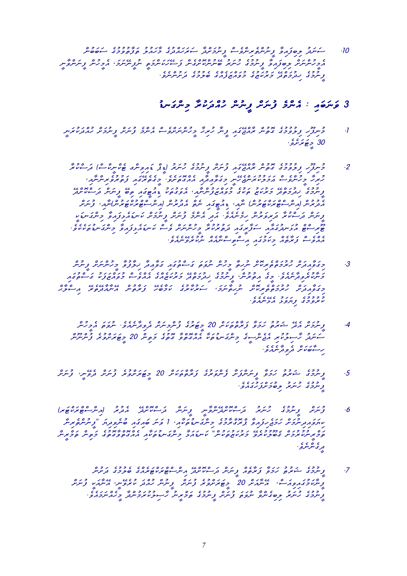cnubwbws egumuvutWfwt uluawhWm egudcawhwrws WdcSwmunIf csevcniretcnunIf Wviawfibil udwnws .10 Investigate , Concepc , Community of the core , Community of the concept of the concept of the concept of the c<br>مرور سرسر کو جو فورو کو از این موسر از سر از سر در سر در سر از سر از سر از سر از سر از سر از سر از سر از این . écology egunus egus egus egus egus egus<br>Ence internudik egus egus egunum egunun

### $3$ وَسَرَعَهِ : كَمَسْ وَسَرَسْ وِسَرْسْ رَحْمَدِنَ وَسَرَىٰ سِنْ

- Inwrukwdcauh cSwmunIf cSwnuf emcnea csevcSwncnuhIm Whiruh WnIf iawgEjcaWr cnutog egumuvulif ihUfinum .1 30 <sub>ج</sub>ڪو ترو.
	- $\frac{1}{2}$  c csc cspiddied (cschivial) computation computation equivulism in the computation of the computation of  $\frac{1}{2}$ و توگر خون و در وور ورود او توگر او در در این است که این است و در این شهر از این شهر است که این شهر است و حضرت<br>کریزگر و کرسوی است و میتوان میتوان که این سه کامل کرد و میتوان میتوان میتوان به است که است که است که است که اس Edect iawa can can converting in the cant in the convertion of the convertion of the convertion of the canted <br>ציינציב נבנדים בני דאיטור בפונג צנייניית ומפשיט בונשבו, ים ציינייני בנייניני .<br>مدرسر الرسو وحده بروه الشرك ومع كرما مع مدرسر الرسو العرض مع سراس و سرهر از آن و دارد و و از دارد و از و دارد و دارد و از و دارد و از و از و سری سرکار در این سرکار در این سرکار<br>و سرهر از سرمایل از و داران در این از این دارد و سرو از سرو بر این مرکز در فران سرکار در این سرکار در این سرکا  $\frac{1}{2}$ eceko chwanganim Wiawanim University concernim wakaza chwangudanim wakaza chwangudnwa c $\frac{1}{2}$ .ecceccae Caea Caea Caeacaea<br>RRG caea Caeza Ragumaka maxomac
- cnun Conuncie conuncies conuncies in which will be conceded to a conceded the conceded to the conceded to the iacia a collegical egumunicae egumunif ,conurutia egumunif ,conurutia egumunif ,conurutia egumunif ,<br>Entre egumunif ,conurutia egumunif ,conurutia egumunif ,conurutia egumunif ,conurutia egumunif ,conurutia egum כדי כם ככנס"ם בפי המודע במיכה נדינם המכנס הממודעים המים במים.<br>בפופעת התכתפתמית תהפיתכי הממודע מכסה צימפית וניטובנפית וניינפי .<br>1999 .<br>1999 . evez avez
	- cnu .ecc conunction .even .even .even .even .even .ere .even .exe .ere .even .ecc .even .even .even .even .eve<br>4. . .even .even .even .even .even .even .even .even .even .even .even .even .even .even .even .even .even .ev حر دو حدود عام وزاده تا از دوره ساموره استاده از دوره از دوره از دوره از دوره از دوره از دوره از دوره از دوره<br>سونترو گرسونزین بر دوسر و ترکومونو کار دوره و تولید از دوسر از دوسر از دوره از دوسر از دوسر از دوسر از دوره از .<br>به شخص موسوع موسوم
- cSwnuf ,InEved cSwnuf eruvcSwrwTIm 20 cSwkwtctWrwf egurwvcnef WSwfcnwnIf Wvwmwh uturwx egumunIf .5 .<br>وسروی رسوبو و صورتوری دره
- (rwTckwrcTcscnia) urudea EdcSokcswd cnwnIf InWvcnEdcSokcswd urwnuh egumunIf cSwnuf .6 cnireticaulif " wynd iawgiawb iawgiawb wynwyddorchung iawgroman egum wynd wynd wynd wynd wynwystwawyiku.<br>מחלק משפית מפותח הממוקד בייתוח מיווח - 1 האינה לחובאה לייתוח המיווח ביותח בייתוח ביותח ביותח ביותח ביותח ביותח נים בכברים החבר בממיד נבנר בסו"ן נודד "סני בנדי "מסמם ממכ"ם ני"ם הם ביתור.<br>הפתיית טובצית "בשתמימים" כממיד המידע בייתוח בית ביתוח וממידעים בים בים ית הפתיית. ه و و و و .<br>تر د سرسرو .
	- cnuSwd egumuleb egcaerwTckwrcTcscnia EdcSokcswd cnwnIf caetWrwf Wvwmwh uYurwx egumunIf .7 cocoup , ביו ביו מוציע 20 כמו 20 כמו 20 כסי כמו 20 המינוע ביום .<br>ציימוב בוקפוריים - וריימור 20 כסיבית פינוע - נועית מוקפית וריימון ציינוע .<br>Even In World was 1999 und Engel and World with even the convention of the convention of the week of the use o<br>Even to what we want to be a straight when the convention of the convention of the war of the convention of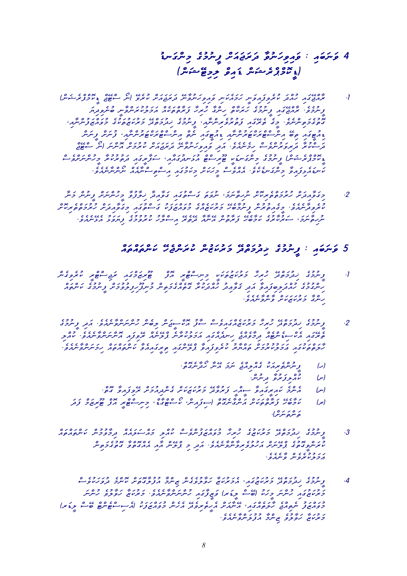uDnwgcnim egumunIf cSwawjwrwd Wvunwhiviawv : iawbwnwv 4 (cnwxETimil cviawD cnwxercpcmokID)

- (cnwxercpcmokID cjETcs On) Everuk cSwawjwrwd EnWvunwhiviawv inwkeawmwh Inwviawfiveruk wdcauh iawgEjcaWr .1 ציבה במודד כבל לא המים המיליד באימי המסגם הנכבד בספי בה<br>ציירופי אופטו, ציירכט מזמים, ניירט אומפטוו ופכמואיינפייג בייקפות הכבוג ס'בב במשתלים במוניק בקודו בסיים במוניק במוניק בקודו בנוסג כסוף.<br>ביטברסיתיות כביס ביובח "ציפואתיותית" וציית בבי בתוכנת בינושמים בפחוץ צייתייתה" chgen es d'oscolegen en de deservance en land en la .<br>בני סיבוד בתופות ועבוד ביותר כי הבקי פהפי מתוכנית ביותר ביותר בה בתוכנית הייתור איית יישוב .<br>בני יימוד בתופות ועבוד ביותר מבקי פהפי מתוכנית במתוכנית מייתור איית יישוב csevcSwncnuhIm Wrukurutwd iawgIrWfws ,iaWawgudnwLua cTcsirUT IkwDnwgcnim egumunIf (cnwxercpcmokID .<br>Inchoron caeaway .even circa .evek .evekee .even www.
- $\zeta$  conunction convergence in Windows in the convergence of  $c$  convergence  $c$  convergence of  $c$ cSokiretchtwaretchtwww.cociretchtwwgim iawgutchtwaretchtwaretchtwaretchtwaretchtw<br>Windowstwaretchtwaretchttwaretchttwaretchttwaretchtwaretchtwaretchtwaretchtwaretchtwaretchttwaretchttwaretchtt .eveaenElea ulkomuusuuruk ulkomuusuuruuruk egusuuruk ulkomuvurus ,www.<br>سرری سرح السور الارساس المسلم السابق العرب المسلوم العروف العرب المسلم العرب المسلم المسلم المسلم المسلم المسل

#### cawdautcawa cowtcawtcawtcawa cowtcawtcawa cowtcawtcawtchwa egumunif egumuntcawtcawtcawtcawtcawtcawtcawtcawtcaw

- cnegiveruk IrcTcsijwr iawgcmwzirUT cfoa IrcTcsinim Ikwkwtuzwkurwm Whiruh EdctwmudiK egumunIf .1 cacca coamtcawtcaetog widiawanifilmusika coamtcalauh udiawala<br>Language Windows identity identity widiawanifilm .<br>برنگری کردن کار و مورس
- $e^{i\alpha_1}e^{i\alpha_2}e^{i\alpha_3}e^{i\alpha_4}e^{i\alpha_5}e^{i\alpha_6}e^{i\alpha_7}e^{i\alpha_8}e^{i\alpha_9}e^{i\alpha_9}e^{i\alpha_9}e^{i\alpha_9}e^{i\alpha_9}e^{i\alpha_9}e^{i\alpha_9}e^{i\alpha_9}e^{i\alpha_9}e^{i\alpha_9}e^{i\alpha_9}e^{i\alpha_9}e^{i\alpha_9}e^{i\alpha_9}e^{i\alpha_9}e^{i\alpha_9}e^{i\alpha_9}e^{i\alpha_9}e^{i\alpha_9}e^{i$ ilcauk .ecoaen .even .even in 1000 in 1000 in 1000 caene en caene iawgcaednih ega<br>ביתונו, וניא הביתפון בקפורה נייטנוניזניו ובקמיניית לקייטו מפלון וניתיטיקפייטופי יווק .eccho cartcawtca wie iawana wowana wywana iawangukulwa iawana iawazawyo iawazawyca wa iawa iamazawa iawa iama<br>Legenda iawatchwa iawatchwa iawana iawazawa iawazawa iawazawyo iawazawyo iawazawyo iawazawa iawazawa iawazawa
	- .ctogenWdOh WnEa wmwn ejcailcaeg ukwairetcnunIf (h)
		- .com اس استخرار استرکز کاربرد.<br>اسمان مسلم مدیر کاربرد کرد.
	- .ctog WviawfivEr cSwmuaidcneg cSwkwzwkurwm EdWvurwf IHcaIs WviawgIriawk emcnea (n)
	- $\left| \begin{matrix} \alpha & \beta & \beta \\ \gamma & \beta & \gamma \end{matrix} \right.$ .<br>ەبىرە بىرىس<sup>.</sup>
- cawtcawtcawtcawtcaw caeawlumuvwa caeawlumuvwa caeawlauk caeaw<br>3. Ence Geuzewy Eden Eden Ence une en-eenn Electworwen cnit a secondaea in idwa caea iawa in idwa secondae<br>Urrageae .html .even in idwa come .html .html .html .html .html .html .html .html .html .html .html .html .htm .<br>وو د سروس وسرو
- csevukwhwvud emcnok cSwtogWlufua Wmcniz cnegevulWvwh Wzwkurwmea ,iawguzwkurwm EdctwmudiK egumunIf .4 ו כנבוד בסוג כל השים המודעו בסוגס ובכני היו היו בסוג בסוג בסוג<br>באנטא בו ריינייק ברט (סייין בשיון באינציה רייקייקפיינוגפי באנטא ופבפ ריינייק כנסנכים כם מנגסנג ומינונסים בים בנסננכן ב-2000 במסיס מים בבית)<br>בפחות ייתם הבים הבים אמינוני מנים ונים בפחות בפחות בנ .eveaenWvcnwlufua Wmcniz evulWvwh Wzwkurwm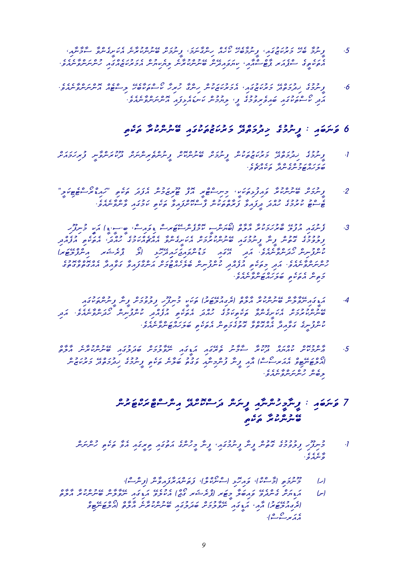- , כל ההי בברכב ביני במשל ספר המיניק בנס הבספרי היו הסלי לומיק.<br>5 ציינב שי בזמוז היו ציינבשי זינו, ניינביינבי ציינבית שיניינמוקיות ומיתביינס בייקוד .eccaecul iawancusum iawach iawancusum caezukurwancusum caezukurukchurukchurukchurukchurukchurukchurukchurukch<br>הפעפי הקהוד קפי הההי עותם התייע ומינע ומינעית הכזע ומינע המיניינים ימהם
- .ecceaen caenwanchoa caetcal caeTchaukurwmea xoronoa caenwanchoa ,iawguzwkurwmea ,iawguzwkurwmea ,iawguzwakurw<br>6. . .exceaen ,iawguzwkurwmea ,iawguzwkurwmea ,iawguzwkurwww .<br>הבני משיפשיבה וסופ בפיקוד בין יישוב במשלך במשיר הייטיינים ייטופ

#### itekwt WrukcnunEb iawgukwtuzwkurwm EdctwmudiK egumunIf : iawbwnwv 6

- cSwawmwhiruf InWvcnwrukUd cSwncniretcnunIf cSokcnunEb cSwmunIf cnukwtuzwkurwm EdctwmudiK egumunIf .1 .<br>.<br>صور مرد جوح سری سربر میں مرکز و
- . צור המוני המוני ביני המוני המוני המוני המוני המוני המוני המוני המוני המוני המוני המוני המוני המוני המוני המו<br>2. נייתריות שיניות מוני ביני הקייר במוני המוני המוני המוני המוני המוני המוני המוני המוני המוני המוני המוני המו .<br>even in 1970 in 1970 is de 1980 in 1980 in 1980 is de 1980 in 1980 in 1980 in 1980 in 1980 in 1980 in 1980 in
- $\mathcal{E}^{1,0}_{\mathcal{A}}$  (IS.Is.Is.Ib , cosiawvid cosiawvid cosiawvid in Elufua iample .3) ctuble elufua iamgunef .3 idcae see itekwame itekwalauh egumunif waa see col sisa col daan egu (مسروسر من المروسين من المروسين المروسين التي تسمية المروسين المسروح .<br>مسروسر من المروسين المروسين المروسين المروسين المروسين المروسين المسروح المروسين egutogaea Woodcaea Caea Woodcaea Woodcae<br>Swmutcae Ka egutogaekeleb coninutionum itelwa .even .<br>Egu have derhauerea
- iawgukwtcnunIf WnIf cSwmuvulif ihUfinum Ikwkwt (urwTEluaiger) ctWlWa WrukcnunEb cnWlWvEniawgIDwa .4 idwa .eveaenWvcnwdOh cninufcnuk idcaefua itekwtea wdcauh egumwkitekwt WvcnegISwkea cSwmurukcnunEb cccoc itekwacie itelu itelien iteliening itekwali<br>Uritymegutog Konitag wordog Novo <mark>geling</mark>nuko
- ctWlWa enwa enward iawa iamgulwa iawa iawa iawa iawa iawa.<br>5- הייקבטית טהוקה בניות היישוב המצה השפתח שנקיבה שיקיינטומית הקים. cnuz conuzwi en en list itelien en de la de la de la de la de la de la de la de la de la de la de la de la de<br>|התפתחים החזק ----| ההן ניית נייתה פבים סיפית הניום, נייתכיב נבקפים, כזונות .ecc 40 1 0 0 0 0<br>توصير كبربيربيروس

## Tene i curso component component component in the component in the component of the component of the component<br>The component is in the component of the component of the component of the component of the component of the c ن د ه د د مر د د پا

- cnum itekwat waa in 1999 itekwat waa in 1999 is not de genuhim .<br>It is egumunif waa in de gumusik in de genus in 1999 is egumusik in 1999 in 1999 in 1999 is egenus in 1999 is .<br>o n n o
	- .<br>(ر) دموځو اد ۱۹۵۳ کورمنو استرمنوا، زومبرد تورمومبر اومرث)
- ctWlWa WrukcnunEb cnWlWvEn iawgiDwa Evelukea (cjOg rwxercp) rwTIm Wlwbiawv Evedcneg cSwyiDwa (S) cuiTEnurum cha enwaren circuit iawa control iawa control iawa control in control in control in control in cont<br>|תבחיב פיזה| ההיא הגיבה ייתוניברית וסגיב בה וסייתית מיקום | היקסיית פיני .<br>د دېم سرچيسترل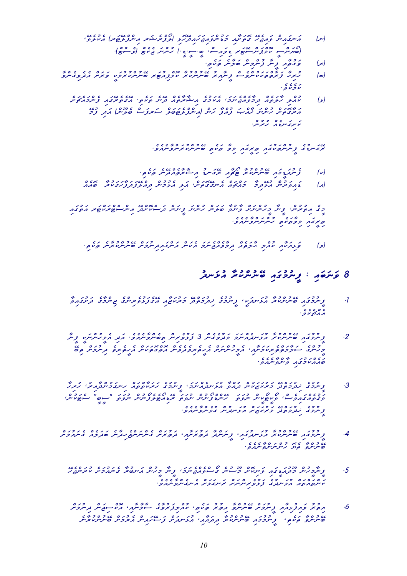- ,Ecco ( rwTElchia rumAl) in Telchia rwTElchia rwTElchia rwTElchia rwTElchia<br>| in Month in Month in Month in Month in Month in the contact in Index .(cTcsev) cTekej wncnuh (.ID.Is.Ib ,csiawviD rwTEscnwpcmok IscnwyOb)
	- . دوره از وه و دروه دروه به ده.<br>|بو| نوی ویژگو و مرد مرکز موسیق
- $\ell$  c c c c c cs c cs wronegive rote x cserc control control control using  $\vert \omega \vert$  $.$ eve $.$ 
	- cSwCcawmcnef iawgEretegEa .itekwt enEd caetWrWxia egumwkea ,wmwnejcaevWmid caetwlWh ilcauk (L) ה זמנים כם הן זם הן כם זמנים הן הן בס שכפם הן כם בנים.<br>הזמנים מינייק מהיה צהר, מיני (היינדקופסיק ייהודקנייה סקייק) הבק .<br>تأموی سوچ اپر کریموس

.eccaen ises in 1997 in 1998 in 1998 in 1998 in 1998 in 1998 in 1998 in 1998 in 1998 in 1998 in 1998 in 1998 i<br>Egypt in 1998 in 1998 in 1998 in 1998 in 1998 in 1998 in 1998 in 1998 in 1998 in 1998 in 1998 in 1999 in 1999

- .itekwt enEdcaetWrWxia uDnwgEr iaWCOT WrukcnunEb iawgIDwaunef (k)
- caeaob WrukwgwhWfwdwfElcaid cnumuLea ilwa ,cSwtogEgnea cawCcawm WmidELua ecnurwviawD (a)

ianggutwa romAli cokcania Eduardia Eduardia Eduardia Eduardia Eduardia Eduardia Eduardia Eduardia Eduardia egi<br>2 ב הפיצייקט צייק פרייקייקיקי פייקופ שיצייק רייקייקי צייקייק בקייק בקייק בקייק בקייק בקייק בקייק בקייק בקייק ב  $e$ eccho iso $e$ eccho iso $e$ 

.itekwa coswiesia coswiesiawa cochoczae w cochoczae w caetwiawa caetwiawy in wystania w caetwlwa iawkowa iawka<br>| enwormanej caetwiawka iawkowana iawkaza iawkowa iawkowa iawkowa caetwa iawkaza iawkaza iawkaza iawkaza iawk

#### $\delta$  פֿינפֿן  $\mu$  ביינכני שינינער העינינ

- $\ell_{\rm v}$  egonic egoniz ega iawazwa iawazwa iawazwa iawazwa iawazwa iamazwa iamazwa wrukc $\ell_{\rm v}$  , ega iawazwa wrukc $\ell_{\rm v}$  egumuni $\ell_{\rm v}$  egu $\ell_{\rm v}$  egu $\ell_{\rm v}$  egu $\ell_{\rm v}$  egu $\ell_{\rm v}$  egu $\ell_{\rm v}$  egu $\ell_{\rm v$ .<br>cccoc
- WnIf IkwncnuhImea idwa .eveaenWvcnebit cnirevuLwf 3 cnegevudwm wmwncaednwLua WrukcnunEb iawgumunIf .2 Ebit cosmic conevedectoa conevedeviretihea cometa conevedeviret in Imerica cometa , ia New York eggnuhimea ,ia<br>Egenera – Alexander eggnuhimea ,iawsweizelbea ,iawsweizelbea ,iawsweizelbea ,iawsweizelbea ,iawsweizelbea ,iaw .eveaenWvcnWv iawgumwkcaeawb
- Whiruh ,uriaWdcnumwgnih cawtctWkwrwh egumunIf ,wmwncaednwLua Wvcaud cnukwzwkurwm EdctwmudiK egumunIf .3 ק"ב מיק" מיק" בין המספר כי כיק" מיישב בין כי כיק" בין המייחס.<br>המספר ברים מייש מייש מייש מיישב בייתי מיום בין משיב ביטיית מיום בין היום מייחס. .eveaenWvcneLug cnudnwLua cSwzwkurwm EdctwmudiK egumunIf
- cSwmuawneg caelwdwb enWdihejcnwncneg cSwrutwd ,iaWSwrutwd WdcnwnIf ,iawgudnwLua WrukcnunEb iawgumunIf .4 .<br>صرحو وبر رسر سر موسر و .<br>صر سرو و بر رسر سر سر سر و .
	- Ehejcnwruk cSwmuawneg Wrubnwa cnuhIm WnIf ,wmwnejcaevcsOg cnusUm cSokinwv iawgIDwaudUm cnuhImWnIf .5 .<br>מית המינות המינוך ב- ככם מיתיית מית בעיר היית ייתוק ייתר כ
	- c) , ובכן כאת כיכום מוכנים ,ככן כם נכשו שביתו אבני נוס בנים .<br>6 . הבית פחתיקאת תייחסת סיימתפ חבית בנים, וחתיקדופים הכייתו אני הפית תייחסת enew CS conia cock can college conial de conia<br>שיתית 1946 , ציית במי שיתיית מוצק וקודון ומונית וב-מונית ומפתח שיתיית מונית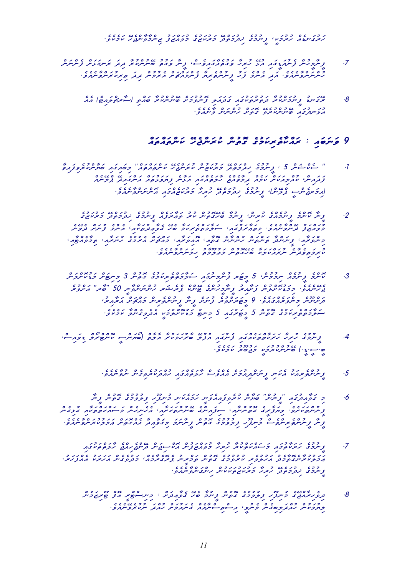.ecc beicn Elen egus caelca egus egus egus egus<br>Savava egunum eguswarwar egunudik zancenye urwei

- cnwncnef cSwLwgnwr wdid WrukcnunEb utugwv WnIf ,cseviawgcaetugwv Whiruh ELua iawgIDwaunef cnuhImWnIf .7 .eccape - even conumurea conumurea conumurea conumurea conumurea .<br>Comunication .even and .even in the .even in the .even .even .even .even .even .even .even .even .even .even .
	- caea (cTiawlcCrWs) itcawb WrukcnunEb cSwmuvunof ilwawdwg iawgukwturutwd WrukcSwmunIf uDnwgEr .8 .eveaenWv cnwncnuh cSwtog EverukcnunEb iawgudnwLua

#### cawtcawtcawtcawtcawruk cowolog egumwakan.<br>9 gwelet izani cawr iawwegod in district

- $\sim$  2004 indicate in the care of care complete community in the contraction or  $\sim$  1. complete community is the community community of  $\sim$  1. community community community community community community community commu כת הרי בר הנכ"ד בס בינים מינים המינים הנכנס הסנ"ד במינים.<br>צבאה הרי האיכאמית מכזה בקפקים התיכול המיני צחפופים היינים המינים המינים .eccae iaw 10000 in Caes in Education Iscoe iaware egumunity , content de content de content de content de con<br>|ارکزیری سرب بر کردن از کرد و در استراکزیر و بر مورد مربع در صورت در این کلیده از این کلیده از این کلیده از ای
	- $e$ egumundik egumunIf caefwrwadik egumunif caefwrwadik comunity .<br>2. المحمد مسرح توسر والمرحوب المحمد والمستحمد المسرح والمستخدم والمستخدم المحمد والمستخدم والمستخدم المحمد وال .<br>בנסגם בניינס ביני הפגיבנציה היו המינוח של ציפגופ איינד בייני בנסייל<br>בפגם בניינס יטמפ הפגיבנציה היו היו היו המינוח של ציפגופימה ואיינד בייניו בנסייל , د الموسى , المستوفر و د و المستخدم العداد المستخدم و د المستخدم ، المستخدم ، المستخدم المستخدم المستخدم ، ال<br>و المستخدم ، المستخدم المستخدم المستخدم المستخدم ، والمستخدم ، المستخدم ، المستخدم ، المستخدم المستخدم ، المست .<br>وکار است و ده دارد است و ده در دورو و از ده و ماده و است.<br>ما پرونووترس سرپر مانوند های دورو و اندوسرو سرو
	- cnwlcSokuDwm cSwTinim 3 cnutog egumwkiretctwmWlws iawgunimcnuf rwTIm 5 ,cnumumin caemunIf emcnok .3 eruvc "revucs" - room politics politics - room - revuced - elecco<br>בתיימת כדום מתוכית צימת מיתכתיות . פייתט וצמיילים מיתייתיות כיום - של היתפות , موجود و آر با دران و آر آر آر و آر شهر و موجود و موجود از این موجود از این موضوع از این موضوع از این موضوع ا<br>در سرسر و سرو بر مانده و از این کوچیم سرو از این موضوع از این موضوع از این موضوع از این موضوع از این موضوع از .evel edea Ichinegivedea Ilinim 1997 iswedea Iswedea Iswedea Ichinegi<br><mark>-</mark>eceptivedea Ichinegivedea Egumweistlichweistlichweist
- $\beta$ , ccook Iscook Isc $\alpha$  is converse in the conversion in the intervals in the intervals in the intervals of  $\alpha$ . .evekemwk urUbujwm IkwmurukcnunEb (.ID.Is.Ib
	- .eveaenWvun cnegiverukwdcauh iawgcaetwlWh csevcaea cSwmuaidcnwnIf inwkea ukwairetcnunIf .5
- WnIf cnutog egumuvulif ihUfinum inwkeawmwh Inwveaiawfiveruk cnWywb "cnunIf" iawgudiaWvwg im .6 cnegiLug iaWkwtctwkcawswm cnehinehea ,iaWSwkwtcnunEb egcniawfis ,iaWncnutog egIrWfwyiv .eveSwkwtcnunIf .<br>ونتر وسرمره برنتره سنوسيون والمستوري الموسر الأرسوب المستورية المستورية والمستورية والمستورية والمستورية والمس
- iawgukwtctwlWh ejcaihejcnEd cnwjisckoa cnufwzcawvum Whiruh Wrukctwkcawswm iawgutWkwrwh egumunIf .7 , וככשה מבוה כ"ככה מכככה מכנס עם כ"ס מסימים ע"כה הנוגע הסנגב"<br>הכביו מיטבים כנו הגיבפינו וימפכב ביםיות וםכמיות המבוכנת וכנסביות הגמנו ההגנגמ" .ecves enverweden conucle conditions of the condition of the condition of the control of the control of the co
	- $\begin{array}{llllll} \hbox{c}} & \hbox{c} & \hbox{c} & \hbox{c} & \hbox{c} & \hbox{c} & \hbox{c} & \hbox{c} & \hbox{c} & \hbox{c} & \hbox{c} & \hbox{c} & \hbox{c} & \hbox{c} & \hbox{c} & \hbox{c} & \hbox{c} & \hbox{c} & \hbox{c} & \hbox{c} & \hbox{c} & \hbox{c} & \hbox{c} & \hbox{c} & \hbox{c} & \hbox{c} & \hbox{c} & \hbox{c} & \hbox{c} & \hbox{c} &$ .<br>Eugene comunication comunication comunication comunication ,<br>Eugene comunication comunication comunication comunication comunication comunication comunication comunication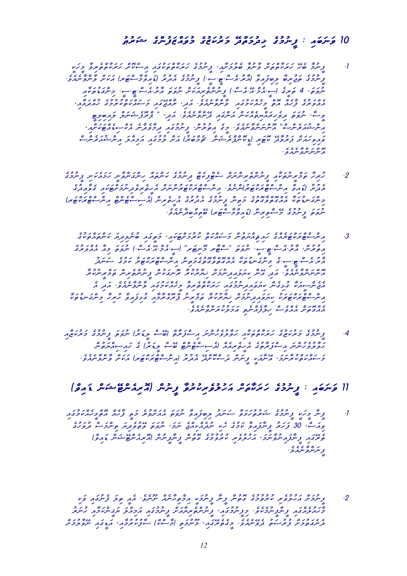# الوسك بيست وروده ومركزه ورود ورود ويكرم

- IkwhIm WviretctWkwrwh cSokcsia iawgukwtctWkwrwh egumunIf ,iaWSwmuleb WvunWv cSwtctWkwrwh Eheb WmunIf .1 .evea (2003) والإدارة المحمد المستخدمات المحمد المحمد والمحمد والمحمد المحمد والمحمد المحمد والمحمد والمحمد والمحمد والمحمد والمحمد والمحمد والمحمد والمحمد والمحمد والمحمد والمحمد والمحمد والمحمد والمحمد والمحمد والمحمد iaWkwtuDwgcnim .Is.IT.csea.urWa wtwvun cSwkwairetcnunIf (.csea.Ea.cmea.Is) egIrwt 4 ,wtwvun ,iawaa kamaan egunu egumurukci .even caehim iawa caehim caehim .even caehim iawa .even caehim egun caehim egun<br>ממפינים צממ מם כממשכבת "פינוסיימפ" ממנהבת כ-ממים שינכם ממנהמי" ITilibian clawna , idwa .eccaetiyca .even .evelaetiyca .evelaetiyca .evelaetiycawrihevid iawgchwa .evelaetiyca<br>Siyasanwa militariisanwa .even .even .even .even .even .even .evelaetiycawrihevid .even .even .even .even .eve  $\int_{\mathcal{A}} \frac{1}{\sqrt{2\pi}} \frac{1}{\sqrt{2\pi}} \frac{1}{\sqrt{2\pi}} \frac{1}{\sqrt{2\pi}} \frac{1}{\sqrt{2\pi}} \frac{1}{\sqrt{2\pi}} \frac{1}{\sqrt{2\pi}} \frac{1}{\sqrt{2\pi}} \frac{1}{\sqrt{2\pi}} \frac{1}{\sqrt{2\pi}} \frac{1}{\sqrt{2\pi}} \frac{1}{\sqrt{2\pi}} \frac{1}{\sqrt{2\pi}} \frac{1}{\sqrt{2\pi}} \frac{1}{\sqrt{2\pi}} \frac{1}{\sqrt{2\pi}} \frac{1}{\sqrt{2\pi}} \frac{1}{\sqrt$ כן כנס כרשוט מבני המספר בס בסיבן כס כריבה בין המספר בנים ס<br>פתפ ממית צימפת טפויק (גיטייתציונייטיק ומסמן) ומית וכבמו וקבוזה המיתיית והמיתיים .<br>د سرسرسو سرد و
- egumunIf inwkeawmwh InWvcnwgcnih cawtcnwk egumunid cTekifcTes cSwncniretcnunIf iaWkwtunIrcmwt Whiruh .2 egudia condia condia condia condia condia condia condia .evence .evence .evence<br>د ترجم [ورقم دسر سویوبرایویو] استر سوی است و موسوع در در دو تروم مورد در اور در د Col CcleDccsclic comeTclics comeTcheRccol eguinogcaea egunulif comeTclical egunulif comeTclic egunulif comeTcl .<br>تروه پر دوی می موجد شرکة موضوع برا صوم صدر مدرو
	- eguku wandan iawkutchwa ctuduri iawkutchwa chawangi iawkutchwa chawswa chwedia<br>Swistowyca występująca występująca występująca międzie iawko występującany ככם שכט פי המינודים ובני "סוש מינודים" ו.<br>הפמיני המינודים ויי ייתפם. "יים מיכודים א" ויי הכי היו יי ון ייתפם כה ההפמי udwnws egumwk urwTckwrcTcscnia cnitwmegutogWvctogcaea WkwtuDnwgcnim eg.Is.IT.csea.urWa שבם הם שישים במודעות במודע במודע ברכבי של הברים ביותר ביותר וברים .<br>הייתיית פיימה פיי הבה היית מתפה בקייקפית והתממוד ומיית שיית ביותר ובקייקטולי ea idwa .eveaenWvcnWv iawgumwkcaehIm WviretctWkwrwh iawgumunidiawvwyik cnegiLug WkwaIscnejea WiawieDiaWiawa Wakazanim Wiawiawia czaści czas wystrzenia<br>Konstanty wrukurwych wyniawsza konstanty wystrzenia .eveaenWvcnwrukulwmwA itencaefWliK csevcaea cSwtogcaea
- iaWzwkurwm egumunIf wtwvun (urwDIl csEb) ctWrwfcsia wncnuhevulWvwH iaWkwtctWkwrwH eguzwkurwm egumunIf .4  $\frac{c_1}{c_2}\frac{c_2}{c_1}\frac{c_3}{c_2}\frac{c_4}{c_3}\frac{c_5}{c_4}\frac{c_6}{c_5}\frac{c_6}{c_6}\frac{c_7}{c_7}\frac{c_8}{c_8}\frac{c_9}{c_9}\frac{c_9}{c_9}\frac{c_9}{c_9}\frac{c_9}{c_9}\frac{c_9}{c_9}\frac{c_9}{c_9}\frac{c_9}{c_9}\frac{c_9}{c_9}\frac{c_9}{c_9}\frac{c_9}{c_9}\frac{c_9}{c_9}\frac{c_9}{c_9}\frac{c_9}{c_$ .eveaenWvcnWv cSwkwa (rwTckwrcTcscnia) urudea EdcSokcswd cnwnIf IkwaWnEa ,wmwnWrukctwkcawswm

# $\vert \hat{\mathcal{E}}_{\alpha}^{(c)} \rangle$  إ $\alpha$  أ $\alpha$  من السياس التي يسترجع من السياس التي تركز التي يدفع السياس التي يدفع السياس التي يدفع السياس التي يدفع السياس التي يدفع السياس التي يدفع السياس التي يدفع السياس التي يدفع السياس التي يد

- iawgumwkcaehImctoa caehWf Itwm eruvcSwaea wtwvun Wviawfibil udwnws Wvwmwhuturwx egumunIf IkwhIm WnIf .1 وترے، 30 ترکیم و سرتر وقت کے معامل میں اس اور اس اور اس اور دی در دی در دی در دی .<br>وبیروم و شرکه شرکت مردوم بر برود و دوس و شرکت از دمس از استفاده از دو .<br>و مرمرو مرد و .
- $\frac{1}{2}$ ikwa iamagunef walit Iaea .evenUn caen egumusuruk irevuluhuvuru irevuluhuvuru c $\frac{1}{2}$  . על 1000 و של 1000 - 3000 מוקדם ומשל המוקדם ומוקדם ומוקדם המוקדם ומוקדם ומוקדם .<br>כמוקדם הן קובת ביותר וקובת במון קובת באודמות קובקבים ומקדם ומוקדם ומוקדם ומוקדם cSwmulWvEn iawgIDwa ,iaWmurukufWs (ckcsWm) itwmunUm ,iawgEretegIm .eveaenEved utwBuruf cSwmutwgened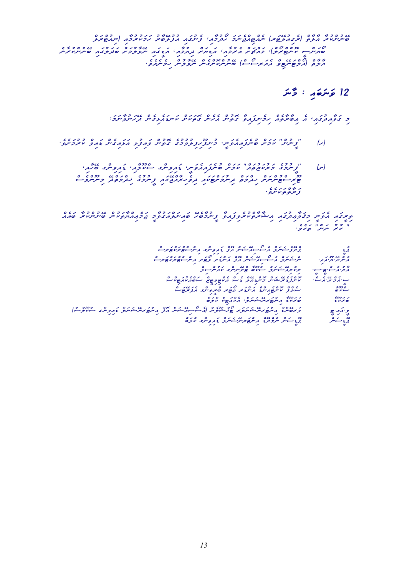clwrcTuain) iaWmurukwmwh urWbElufua iawgunef ,iaWmudOh wmwnejcaiTcaen (rwTEluaiger) ctWlWa WrukcnunEb enWrukcnunEb iawgulwdwb cSwmulWvEn iawgIDwa ,iaWmuyid cSwyiDwa ,iaWmurea cSwCcawm ,(clOrcTcnok IscnwyOb .<br>مرده انگوی میتوان و ماه میتوان و میتوان و میتوان و تاکی با در میتوان

#### $w_2$  :  $z_2$  :  $z_3$

: www.componweardoccomedia component component component component component component call in the component component component component component component component component component component component component c

- .eves swamuruk con and content concess in the content of the concess of the concess in the concess in the conce
	- $\mu_1$ u goniviawD ,iawa ganiviawa ganiviawa gchiviawa egumunikiawa egumunikiawa egumunikiawa egumunikiawa egumunikiawa egumunikiawa egumunikiawa egumunikiawa egumunikiawa egumunikiawa egumunikiawa egumunikiawa egumunikia csevcnUnim EdctwmcdiK egumunIf iawgEjcaWrihevid iawkwTcSwmunid ctwmcdiK cSwncnuTcsirUT ر بره در در در در بالا<br>قریمره جری سرو

 caeawb WrukcnunEb cnukwtWycaiAcmwj ImWvugwaclwniawb EhebWmunIf WviawfiverukctWrWxia iawgudiAWvwqim Inwvea iawgIrit  $e$  . even usual uruk "conware"  $\frac{e}{2}$ 

- cs<br>کرده کشور کوچرک کشور کو کوچرک میں مرکز دو گرو گرم کوچرک کا مرکز کا مرکز کا مرکز کا مرکز کا مرکز کا مرکز کا مرکز<br>کوچرک دو کرد کشورکو کوچرک کوچرک کوچرک کا مرکز کا مرکز کا مرکز کا مرکز کا مرکز کا مرکز کا مرکز کا مرکز کا م حكم يوجه المركز و المركز و المركز و المركز و المركز و المركز و المركز و المركز و المركز و المركز و المركز و ال<br>المركز و المركز و المركز و المركز و المركز و المركز و المركز و المركز و المركز و المركز و المركز و المركز و ال  $c_0$  cliscopus gradua gcnine  $\frac{1}{2}$ 
	- cos de control control control control control control control control control control control control chiam c<br>The chiam control control control control chiam control chiam control control control chiam control chiam cont
		- כו כמו כי המוצר כי המוכן המותפיע של המודד המוליק של המודד המודד המודד המודד המודד המודד המודד המודד המודד המוד<br>שימוש בי המודד המודד המודד המודד המודד המודד המודד המודד המודד המודד המודד המודד המודד המודד המודד המודד המודד
- (csclUkcs gcniviawD clwnwxEnrwTcnia cfoa cnwxEaisOsea) cnelUxcKOT rwlwnwxEnrwTcnia cDcnEbrwv IT.iawa.Iv
	- cbwlck gcniviawD clwnwxEnrwTcnia cDorcmen cnwsIDop cnwsIDop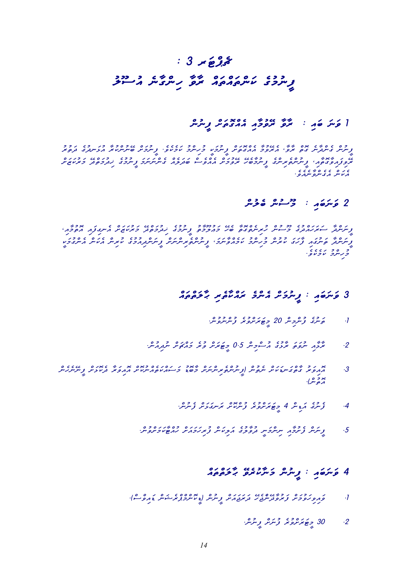# $: 3 \times 25$ ulUsua enWgcnih WvWr cawtcawtcnwk egumunIf

## I وَسَرَ قَهِ : اللَّهُ اللَّهُ عَنْ اللَّهُ عَلَيْهِ اللَّهُ مِنْ اللَّهُ مِنْ اللَّهُ مِنْ اللَّهُ مِنْ اللّ

צר בס גם שיש שמו בשיר באשר בס בין הריים בין הריים בין בין הריים בין הריים בין בין הריים בין בין בין בין בין בי<br>ציניית בייתוניית בים, זקפי אז בספר אוז בים ית קיימוד בין בין בין פייתוניית ובייתונים ובסינים בין בין בין בין ב .<br>בערב הפיצום במין ציירות ביותר בשני במפריד המפייח סבקיבה ביותר ביותר ביותר באינו באינו באינו באינו ביותר ביותר<br>מפרה פיצום באינו ציירות ביותר בשני מפריד ההופייח סבקיבה ביותר ביותר ביותר ביותר באינו ביותר ב .<br>.<br>.even come come

### cnuleb cnusUm : iawbwnwv 2

, נוסט גוגוס כז כד כז כן כן המשליט במפני ד כדה בגוסט גדוגוס הייתוח מדוני בדי המשליח ומשליח.<br>ציירות הייתוח בני דודור המיתוח בואי במיקרם, ציירפה לבקספת בממוזית הייתוח המשליח. Ikwa can can canyo cang cang cang confidence can control control control control control control control contr<br>צעיתיות הייתוח צ'מו עיניית פמיופר עבחקיית ו"קייתיות מיתוק צייתיות חיים מיתוח מיתוח מיתוח מיתוח מיתוח במ .<br>ورنتوی ماورده .

# cawtchlwah is in the control of the control of the control of the control of the control of the control of the

- .cnuvuncnuf eruvcSwrwTIm 20 cnimcnuf egunwt .1
- .<br>2. سرعاء السروى المرسوم 0.5 و 2 مركز و بر واركاس الروازش.
- cnehenEnIf cSwLoked Wrwviaoa cSokuncaetwkcawswm uDobWm cSwncniretcnunIf) cnuten cSwkwDnwgctWg urwviaoa .3 .<br>ده س
	- .comunef comunef comunity egunef .4 comunity egunef .4 comunity egunef .4 comunity egunef .
	- .cnuvcSwmwkWTcauh cSwawmwhiruf cnwkilwa egulWvud Inwmcnin iaWmuSef cnwnIf .5

# cean : ويرمر دين مدده دره ده

- .(cscviawD cnwxercpcmcnokID) cnunIf cSwawjwrwd EhejecnEdWvurwf cSwmuvwhiviawv .1
	- .cnunIf cSwnuf eruvcSwrwTIm 30 .2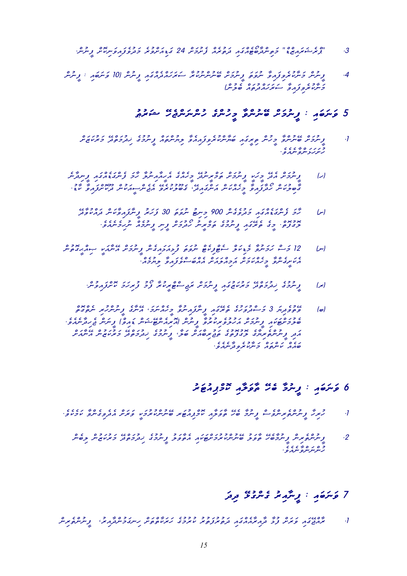- .com .conunc cocococococococococococococococococo<br>3. . .zawdonie caerutwane caerut iamgcaetobuserce caeruta i
- c conunction : if it is in the conunction of the conunction of the conduction . و ترتفر ( comuleb cawdiawhwr ) comuleb cawturud cawturud cawturud cawtudawhwr ) cawtudown cawtudown cawtudown cawtudow<br>Tudowana cawtudowana cawtudowna cawtudowna cawtudowna cawtudowana cawtudowana cawtudowana cawtudowa cawtudowan

# $\frac{1}{2}$ وَسَرَحَهِ = زِيْرِينَ وَمَسْرِينِ وَمَسْرِينِ وَمَسْرِينِ وَمَسْرِينِ وَمَسَرِينِ وَمَسَرِينِ وَمَسَرِينِ

- cSwzwkurwm EdctwmudiK egumunIf cawtcnuyil WveaiawfiverukcnWywb iawgIrit cnuhIm WvcnunEb cSwmunIf .1 .<br>د بربر د سره سروره<br>پر بر د سره سروره
- ال) وسروس ماما وسروس وديس وتبريد وسمامي مريكه سرد التي وسرعت من وسرمر من . בסיכונים בצבור כמונים במתפורטי בסיכומים בשיית המוניק ביותר במתקנים ו
	- اسا مصر عدة عدد عدد عدد عدد 900 وسطح مرة قاص و 30 وسطح مسلح و العدد عدد العدد عدد العدد عدد العدد العدد عدد ال<br>اس ساحت و العدد العدد العدد و حدوث العدد العدد العدد العدد العدد العدد العدد العدد العدد العدد العدد العدد الع .evea - even - even comunity in Iron comunity in Iron comunity in Iron comunity in Iron comunity in Iron comun<br>בשנים - כי סיבשות ניינכש ספיביית מבבית ניית ניינכות ייתולמינות פי
- cnut caiB IkwaWn Ikwa conegia chegia chegia conegia conegia<br>|טן 21 באין בביות בדיות הפונים יינים נצוגו ביותר מינות היו ביותר ביותר ביותר ביותר ביותר ביותר ביותר ביותר ביו .<br>בעתב ייעב פממיכת הכבודות בהסייים צבפי בחבב
	- .cnuviawfcSok wmwhiruf umOf WrukIrcTcsijwr cSwmunIf iawguzwkurwm EdctwmudiK egumunIf (r)
- $\epsilon$ اه) 350 ومرد 3 و سوروبری  $\epsilon$ بری و سرد مرد و در سرد است $\epsilon$  و سرسربرسر سرد و در .ecoap وتحرير المستخدم المستخدم والمستخدم المستخدم والمستخدم والمستخدم والمستخدم المستخدم والمستخدم والمستخدم כם ב' לי הכמכו לכן לולי לכובי בנים באוכם בליכם הלינים.<br>הנק גייניינים החיבי בציפו בשמיל סיבי גייניבו בנקבם בו בזמזון ואייטו .<br>סגג מיתים כיתו מקום מגום

# $\frac{1}{2}$ en journale islam en de la version de la version de la version de la version de la version de la version de la version de la version de la version de la version de la version de la version de la version de la ver

- .evekemwk Wvcnegivedea cSwrwv IkwmurukcnunEb rwTuaipcmok iaWlwvWt Eheb WmunIf csevcniretcnunIf Whiruh .1
- $c^2$   $c^2$   $c^2$   $c^2$   $c^2$   $c^2$   $c^2$   $c^2$   $c^2$   $c^2$   $c^2$   $c^2$   $c^2$   $c^2$   $c^2$   $c^2$   $c^2$   $c^2$   $c^2$   $c^2$   $c^2$   $c^2$   $c^2$   $c^2$   $c^2$   $c^2$   $c^2$   $c^2$   $c^2$   $c^2$   $c^2$   $c^2$   $c^2$   $c^2$   $c^2$   $c^2$   $c^2$ .<br>مسر سر سر بر سر مر

# 7 ۇس*ۇھە : دىشمىر دىندى ت*وتر

cniretcnunIf ,uriaWdcnumwgnih cSwtctWkwrwh egumuruk urutwfurutwd iawgcaeaWriaWd WLuf cSwrwv iawgEjcaWr .1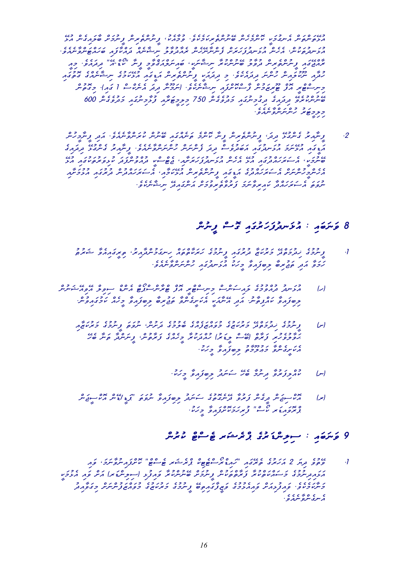ELua cnegiawlWb cSwmunIf cniretcnunIf ,ukeaWmuv .evekemwkiretcnunEb cnehemcnok Ikwmugnea cnwtcnwtELua  $e$ coand iawaha iawaho iawaca iawa caen caen caen coaen coaen coaen coaen coneheny.<br>Lua caenda ,conuc caenda ,conuc coaen coaen caenda da ,conehea ,conehea ,coneheny coneheny coneheny coneheny c ויסטיק - כס כפי כשיכון פריש - פריש - הפריש - הפריש משווים הובנים - הובנים בו<br>ממשיבות צייתיות במיות בקפיד ושיתיוטודית ייתוח - ממיות במצביק - ציית "עש"ח - דיקומודי - כמ<br>- המשיבות ה وی دووز و دقیق ورده و در است و توره نام در است و توره و .<br>مترم سرمورش کشوش و ورملات و تورم از است و برخوش مع نما از مولاوی سرخوش و می در cutogim . 1 conunction . 1 ccc 8 comunity . even for light crown . 1 ccc 9 comunity . even discussion . even d رة وه ورية المستخدم والمستخدم 250 ووجه على الموقع ولا المستخدم بدوري من 600 000 .<br>כבכסת הייתייתים ייתוב<br>הגל

 cnuhImWnIf idwa .eveaenWvcnwruk cnunEb iawgcaenwt emcnok WnIf cniretcnunIf ,wdid ELugcneg uriaWnIf .2 .<br>א בא הציינים הצייעת בא הסבקפיים בקב, צייניינייני הייניינינים יודע משים ואת המאוד הייני ומציע ומאוד .<br>הבא הציינים הצייעת בא הסבקפיים בקב, צייניינייני הייניינינינינינים ומאוד באת המאוד .  $\frac{1}{2}$ בנו בנוספנו בעיד בכנוספנו בנוסף במשתליך המוסיים במפיילו בין בנוסף בעיד בעיד בעיד בעיד בעיד בעיד המוסיילו בע<br>סיינפטי היי משתליכה הכנה מוסיילו הפייטנוצי משתליך שני במפיילו בעיד במוסיילו הכ ia Cologieus iawachwrwa comus iawachwroco cologieus cawhulua cologieus cologieus cologieus cologieus cologieus<br>ממתקברית ית הממנה במודע במתקבלת מודע כמו הממנה במאודע מודע מודע מודע מודע במאודע במאודע מודע במאודע מודע מודע  $\frac{c\,c\,c\,s}{c\,s\,c\,s\,w}$  הערכה מערכה מערכת מינים מערכה מערכת ועל מערכת ש

#### $\delta$  وَسَمَعَهِ : أَمْ وَسَمَّرُورَ مَرْدَمٍ مِنْ وَسَمَّرَ وَسَمَّرَ الْمَسَمَّرَ

- $\frac{1}{2}$ urwangirit ,uriawagnih campungnih cawtchumwangirit ,uriawagurud Wzwką iawg $\frac{1}{2}$ .<br>צבפ הב, הב, תם בסצהפ בג'ו הניינגדה לילייניינפיינגפי
- cnunwxEaivEa clivis cDcnea cTOpcscnWrcT cfoa IrcTcsinim cscnwsiawl egumuvcaud udnwLua (h) .cnuviawgumwk caehIm Wviawfibil Wbirujwt WvcnegISwkea IkwaWnEa idwa .unWtipcawk Wviawfibil
	- iawa egumun egumu egumu egumuni egumuni egumuleb egus egunu<br>| اس| د سرحاق المروجاتي و جرمانيات و المروجات المرمزس المروجات والمراجع المروجات والمرماني Eheb Wnwt WdcnwnIf ,cnutWrwf egcaehIm Wrukwdcauh (urwDIl csEb) ctWrwf iruhevulWvwH .<br>גיות שינות בגיברים יבנים ציבות בא
		- .ukwhIm Wviawfibil udwnws Eheb Wmunid Wvurwfilcauk (n)
	- cnwjIsckoa cnED/IDwp" wtwvun Wviawfibil udwnws egutogenEd Wvurwf cnegId cnwjisckoa (r) .ukwhiruf "caraction" .<br>צווק באיבא לייר" "נובדו בצורך "כללי"

# $\mathcal{G}$  وَسَرَهَ بِهِ - اللهِ صَرْحَ وَمَرْ عَظِيمَ وَمَرْ عَظَيمَ اللهِ مِنْ اللهِ مِنْ

 iawv ,wmwnWvuniawfcSok "cTcseT rwxercp ckiTeTcsOrcDiawh" iawgEret egurwhwa 2 wyid evutEv .1 IkwmuLea iawv cSwa (rwDcnilis) iLufiawv WrukcnunEb cSwmunIf cnukwtctWrwf Wrukctwkcawswm egumunidiawLwa  $\frac{1}{2}$ udia CSSwait codia codia egus egus egus egunu egus egunu<br>Erroman egunu .<br>د سری سره سرد و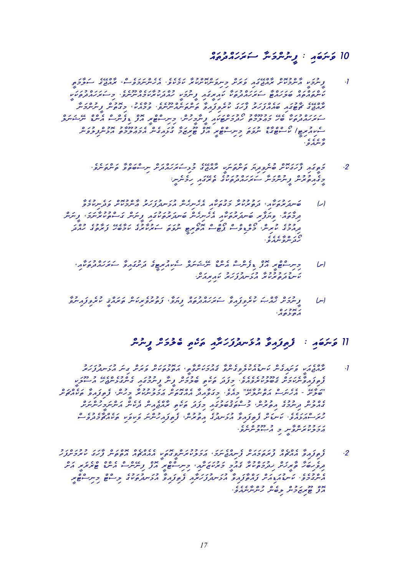# cawtudcawhwrws WnwmcnunIf : iawbwnwv 10

- ItwmWlws egEjcaWr ,csevwmwncnehea .evekemwk WrukcSokcnwvinim cSwrwv iawgEjcaWr cSokumcnWa IkwmunIf .1 Ikwatuda Ikwatawa .evenuali iakuwatawa Ikwazauh Ikwazauharu<br>Iriginali iamazo wakazauharia ya kwikawa caka kwing canta w שממון ברון הוסבבר ביני כי צ'יל ברון להפנים במידע בסביב.<br>צמשה לפודו שממצגיב צ'יב עיבוצמפ היינה יינייתי פרמטי בההיית וייניינדיינד clwnwxEn cDcnea cscnefiD cfoa IrcTcsinim ,cnuhImWnIf iawkwTcSwmudOh utWmUluAwm Eheb Wkwtudcawhwrws c calloa continuum calloa calloa continuum calloa continuum continuum continuum continuum continuum continuum c<br>Lugares continuum continuum continuum calloa continuum continuum continuum continuum continuum continuum cont .<br>ەمىروە
	- .evenwtcnwt Wvctwbcsin cSwdcawhwrwsiLum egEjcaWr Ikwnwtcnwt wyidivenub cSokwgwhWf iawgItwm .2 ة أو والمستخدم المركز والمستخدم المستخدم المستخدم المستخدم المستخدم والمستخدم المستخدم المستخدم المستخدم المست<br>المستخدم المستخدم المستخدم المستخدم المستخدم المستخدم المستخدم المستخدم المستخدم المستخدم المستخدم المستخدم ال
- Wvemukinedwv cSokumcnWA urwhwfudnwLua cnehinehea iaWkwtugwm Wrukurutwd ,iaWkwturwdnwb (h) cautic conformation and contraction in the index in the index in the interval in the interval in the interval in the interval in the interval in the interval interval in the interval interval interval in the interval inte א ככז כ"ס "סם ם סם"ם בסיגור הפני כל כ"ז גוליזון גוליזון כס"ג<br>נקרכי עיצייני "כיב בפיידי בקודות בפניס וביודע ביודעי בציפי מגע ecceoco<br>Concorco
	- ,iaWkwtudcawhwrws WviawguSwd egITiruaikes clwnwxEn cDcnea cscnefiD cfoa IrcTcsinim (S) .<br>מייע בנים ומים אי משק*יב לא מא*מצע
	- |س| و حرم من حرم حرم مدره حده حرم من حدة عبد من مدره حرم حرم حرم حرم حرم العروفي مستقرح العرب .<br>Loxea

#### II فَسَقَهِ : أَوْمِ دُمِنٌ مُ ذَسِرٍ دَرَسُهِ فَيَوْمَ مَنْ فَسَرَدَ مِنْ الْمَرْسَرِ

- $\frac{1}{2}$ ער בארט ערכוני כאפרט מערכו מערכו המכנגס גנגס ביני כל המינק ביני כל המינק ביני ביני המינק ביני ביני המינק ביני  $\frac{1}{2}$ IkwlUsua Ehejaneluga Ikwizua India Ekejaneg iawa comunistasi comunistasi wadwa comunistasi comunistasi comunis<br>La Ehejaneluga itekwa comunistasi comunistasi comunistasi comunistasi comunistasi comunistasi comunistasi comu cSwCcaekwt Wviawfitef ,cnuhIm WrukunulwmwA cSwtogcaea WdiaWvwgim .eveaim "ESWlunctwa cswnehea - ESWlwb" cSwncnuhImwncnwa cneked cniaejcaWr itekwt wdwfim iawgulwbuqwtcsum ,cnurutia egumunid cnulcaeg csevudemWCcaekwt ikwvikwv wncnuhiawfitef ,cnurutia egudnwLua Wviawfitef cSwDnwk .eveawLwacswruh .evencnulUBua im InWvcnwrukulwmwA
- uhwfcSwmuruk wgwhWf cnwtctoa caeCcaeaea IkwtogIvcnwrukulwmwA ,wmwnejcainef cSwawmwtwruf caeCcaea Wviawfitef .2 co ooc ooc ooc in Irway cale codnea care in the coding choice in the code of the code in the code in the code i IrcTcsinim component is the content of the component component component .<br>مستوى و ستمونمبر ومودمو موسورور يمم ووومو موسومون وحق وسياق .ecc 400 0 c 0 0 c 0 c<br>N i grzewie com (Manche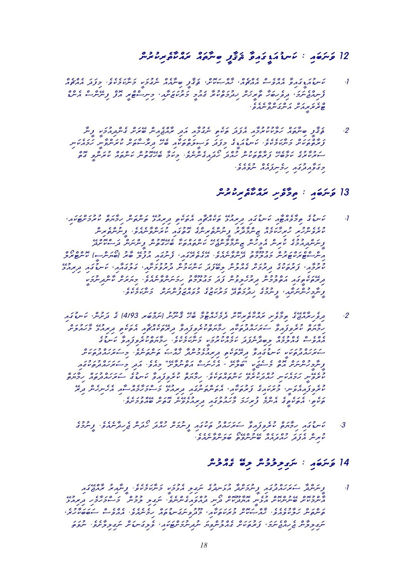# $\frac{c_1\cdots c_n}{c_1\cdots c_n}$  cawdaudnwydd i iawbyw

- caeCcaea wdwfim .evekemwkWnwm Ikwmugen caeaWnib IfWqwX ,cSokwBcaWK ,caeCcaea csevcaea WviawgIDwauDnwk .1 cDcc coal care come in IrcAcce IrcTcsinim , in IrcAcce Indiana , in IrcAcce in IrcAcce , in IrcAcce , in IrcAc .eveaenWvcnwgcnwa cSwaIrwRercT
- $\mathcal{L}$  خارج مشهور المودوجي المدير المدير المرور المدير المسلم المسلم المسلم المسلم المسلم والمسلم المسلم المسلم المسلم المسلم المسلم المسلم المسلم المسلم المسلم المسلم المسلم المسلم المسلم المسلم المسلم المسلم المسلم ا  $i\in\{1,2,\ldots,k-1\}$  Inwide iawku iawku wanda iawkutchwa elektrictwaudnwch . even iawkutchwa . even iawkutchwa . even iawkutchwa . even iawkutchwa . even iawkutchwa . even iawkutchwa . even iawkutchwa . even iawkutchwa . e . בכלכם בכלכם במכניס במכניס במכניס במצבע משלב מכניס בכל מים בסיים ביותר בסיים ביותר בסיים ביותר בסיים ביותר בס<br>- במעמים עכשיו צמפים עית מגב, מבקדושיתם בעיק שמוזים מעמים ממיתקים ביותר .ecc - 00 - 00 - 00<br>כבפחתבא - הכייננאו יינפחפ

#### $13$ وَسَ صَدِمَ اللهِ عَلَيْهِ اللهِ السَّلَمُ عَلَيْهِ اللهِ السَّلَمُ اللهِ السَّلَمُ السَّلْمُ السَّلْمُ ال

- $\delta_{\mu\nu}$ iauk ctwa chwymien cowtonwtch conwednu conwednu i egu $\delta_{\mu\nu}$ nwednu iawgudnyk iawaczaenymit egu $D$ nwk egu $D$ nwk egu $D$ nwk egu $D$ nwk egu $D$ nwk egu $D$ nwk egu $D$ nwk egu $D$ nwk egu $D$ nwk egu $D$ nwk egu $D$ nwk egu $D$ n כזוס כ' כן מינוס בסימיכ' כסוג מכני בינסמונד ובסים בסים בסיסים<br>עוקפית נודע נודע מיתכנוד וביתית ומיתוד ובסיטור עוקיית מיתופי וביתית ביתיית . בר כר כר כר כר כר המינים כמו המינים מונים ברוח במינים מונים במינים במינים במינים בנים המינים בנים בנים בנים<br>קיישת בקבוצים מיניים ובקבוע בקבוצים במינים מונים בקיים בנים בנים בנים מינים בנים בנים בנים בנים בנים בנים בנים clock (ספי כפי כפי כבל כמו ספי במו המו המו בין כבל מי כו המוסיף המוסיף המוסיף המוסיף המוסיף המוסיף ה<br>התעשים מעשים מוקדם באייקטייני ובטיבבה לייתבה הנב שים (שתיית – המוסיבב ברש נרגום ברושים ומנגנים וברושים וברושים ברושים ברושים במתוכנים ביותר ברושים ברושים ברושים ברושים ברושים ברושי<br>מיקפתי ציונים מיקפים בתוכנים ופסצט, מייחודיים טיונים ברושים ברומי מיישים ברושים ברושים ברושים ברושים ברושים בר Ikwa condition cock complete complete control complete case of the collection of the collection of the collection of the collection of the collection of the collection of the collection of the collection of the collectio .evekemwkWnwm cSwncnufwzcawvum eguzwkurwm EdctwmudiK egumunIf ,iaWSwncnuhImWnIf
- iawguDnwk ,cnuSwd eg (4/93 rwbcmwn) unUnWq Eheb WmuTcaehemed cSokiretWkcawr iSevWmit egEjcaWrihevid .2 cSwluawhWm ELuairid itekwtea iaWCcaekwtErid WviawfiverukctwyWmih iaWkwtudcawhwrws Wviawfiveruk ctwyWmih eguDnuk Bandhiverukch .evekerukch .evekemwka .evekemwha .evekemwhat .evekemwhat .evekemwe watamurukca .evekemw<br>Kaemulcae caemulcae caemulcae caemulcae .evekemwata .evekemwatamurukcae .evekemwatamulcaea .evekemwatamurukcae כנוס כנו וביציא המנגד ביכסף אם נוסנטים ובינוס כנוס.<br>במנגדת עינו וייש באנפי במנגדו ומנגד על היא פיינפי ב-המנגדו בינו ن و و و د و نحوه المالك العربي المالك المالك المالك المالك المالك المالك المالك المالك المالك المالك المالك ال<br>و سرد رسوس المالك المالك المالك المالك المالك المالك المالك المالك المالك المالك المالك المالك المالك المالك ا ctwy cartudicawh cawtudcawhwa egu dan ctwywiawan .<br>Angly chwy chydrwyd wagholigawy chwyddiauh inwystrauh in cho Erid cnehinehea iaWscaemWhwmcswm ELuairid iawgunwtcnwtea ,iaWkwturwf egiawkwrum ,Inwveaiawfiveruk .eve CuccaEe cost energy en Evel en<br>המים' הפמים ב"חינוך צינמית במתכשה בנמונקית בפינ סוקפרינקי
	- egumunIf .ecc conwood .even concoc conward conworld .<br>3 . עייש מאוד משקע עשמאני משמא ניינפית מאני מניית בן מניימאפי ניינפ .<br>עידיית הצבק מהבנהה שיתייתפים שצייקפיינדיקי

#### $14$  وَسَرَحَهِ : سَرَى مِرْحَرْدُ مِرْحَمَّةً وَيَرْحَمَّةً

 $\mu$ egudna Ikwawa iligawalea iligawalea iligawalea iligawa wana uriadan $\mu$  . If it is the sector  $\mu$  ELuairid ihemWhwmcswm cnumul iligwn .evencnegiawvcaud inOd cSokUdWyoa IneLua cSokcnunEb cSokumcnWa , פינס נישוב כנולט כנונים וכנולט כבר הנוסף ביותר כבר ביותר ביותר ביותר ביותר ביותר ביותר ביותר ביותר ביותר ביו<br>המינהיות הפינסונטי "הודייניות כמותליון" כתופיות ביותר הפינונטים והודיים וביותר ביותר ביותר ביותר ביותר ביותר ב  $\frac{c\,c\,c}{\sqrt{c}}$ וועט כבליט . כל הענינות כל העניקה מקור משלח , והעניקה משלח , כל העניקה מעניקה , כל העניקה , כל העניקה , כל העניקה , כל העניקה , כל העניקה , כל העניקה , כל העניקה , כל העניקה , כל העניקה , כל העניקה , כל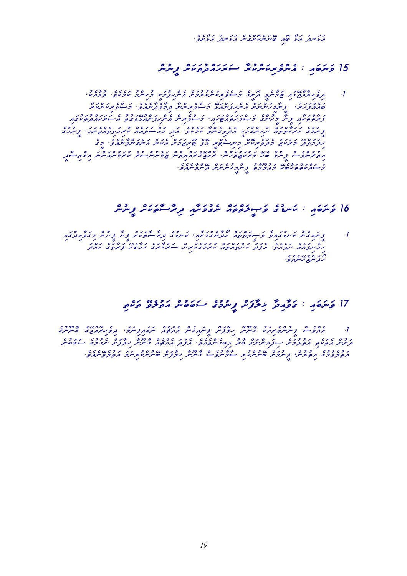כד כדוד הבר גם כסבסם סדר כדוד הפרס.<br>התייתה התדסה סייתיות וביית התייתה התייתה

# $15$  وَسَرَحَهِ  $\kappa$  مَسْرَوْمِرْسَرْمَتْرَ وَسَرَمَ وَسَرْمَزَ وَسَرْمَزَ وَسَرْمَزَ وَسَرْمَزَ

, ukeaw .exec .evekemwaren coloos .evekemwarevcza csod .<br>I .evekemwarevcza izod izod Ivan Egel .evekemwarevid .exec .ech Wrukcnwkirevcswm .eveaenWdevWmid Wncnirevcswm ELuacnwfihcnea cSwncnuhImWnIf ,urwhwfcaeawb iawgukwtudcawhwrwsea utugwvELuacnwfihcnea cnirevcswm ,iawkwTcawtwhwlcBwm egcnuhIm WnIf iaWkwtctWrwf  $\frac{c_{22}}{c_{22}}$  , where  $\frac{c_{22}}{c_{22}}$  , where  $\frac{c_{22}}{c_{22}}$  , where  $\frac{c_{22}}{c_{22}}$  , where  $\frac{c_{22}}{c_{22}}$  , where  $\frac{c_{22}}{c_{22}}$  ,  $\frac{c_{22}}{c_{22}}$  ,  $\frac{c_{22}}{c_{22}}$  ,  $\frac{c_{22}}{c_{22}}$  ,  $\frac{c_{22}}{c_{22}}$  , egim . even component component component component component component component component component componen<br>Social IrcAccomponent component component component component component component component component componen IdWBitcgia wncnwacnumwruk eruscnunWmwz cnutiycawregEjcaWr ,cnukwtuzwkurwm Eheb WmunIf csevcnurutia .<br>ב-eventual composition of approach under the composition of the composition of the composition of the composit<br>ב-eventual composition of the composition of the composition of the composition of the composition of the co

# $16$  وَسَمَعَ بِهِ السَّلَاءُ وَسِعْرُهُ مِنْ وَسَمَدِ وَسَمَدَ وَسَمَدَ وَسَمَدَ وَسَمَدَ

 iawgudiaWvwgim cnunIf WnIf cSwkwtWsWrid eguDnwk ,iaWSwmugenWdOh cawtctwlIBwv WviawguDnwk cnegiawnIf .1 ') בעיר בכבר בני המנוסים ככבר כדי המקביר ביותר במנודד במנודד כל ביותר.<br>מקייעת מאוד יותר ביותר באוד מאוד במאיית – האנטאנד ערסים באוד מאוד באוד ביותר. .<br>حد سو رس د و

#### $\frac{1}{2}$ itekw $\frac{1}{2}$  element conubwa conubwa c $\frac{1}{2}$

 egunUnWq egEjcaWrihevid ,wmwnifiawgwn caeCcaea cnegiawnIf cSwfWliK WnUnWq ukwairetcnunIf csevcaea .1 כפי בני הככלים המוניעים מכד המונים ביותר במידים מוניעים בלכבים הנכסיים.<br>בניטים ומידים ומפככים הנקודויותיים שים יקשו מפופי וקנב וממזמן בייטים ובעיק ייטיבכים הייסוסיים. .eveaeon | even cosevun wareo cosevun waarde egunale cosevun<br>הפרפרב הפיניים ציירכת סייקיוטית ובפייקטוב בייטית מקצות סייקייטית ופרפייטוט